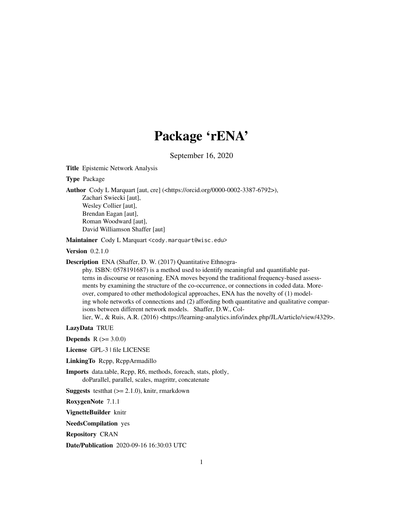# Package 'rENA'

September 16, 2020

Title Epistemic Network Analysis

Type Package

Author Cody L Marquart [aut, cre] (<https://orcid.org/0000-0002-3387-6792>),

Zachari Swiecki [aut], Wesley Collier [aut], Brendan Eagan [aut], Roman Woodward [aut], David Williamson Shaffer [aut]

Maintainer Cody L Marquart <cody.marquart@wisc.edu>

**Version** 0.2.1.0

Description ENA (Shaffer, D. W. (2017) Quantitative Ethnogra-

phy. ISBN: 0578191687) is a method used to identify meaningful and quantifiable patterns in discourse or reasoning. ENA moves beyond the traditional frequency-based assessments by examining the structure of the co-occurrence, or connections in coded data. Moreover, compared to other methodological approaches, ENA has the novelty of (1) modeling whole networks of connections and (2) affording both quantitative and qualitative comparisons between different network models. Shaffer, D.W., Col-

lier, W., & Ruis, A.R. (2016) <https://learning-analytics.info/index.php/JLA/article/view/4329>.

LazyData TRUE

**Depends** R  $(>= 3.0.0)$ 

License GPL-3 | file LICENSE

LinkingTo Rcpp, RcppArmadillo

Imports data.table, Rcpp, R6, methods, foreach, stats, plotly, doParallel, parallel, scales, magrittr, concatenate

**Suggests** test that  $(>= 2.1.0)$ , knitr, rmarkdown

RoxygenNote 7.1.1

VignetteBuilder knitr

NeedsCompilation yes

Repository CRAN

Date/Publication 2020-09-16 16:30:03 UTC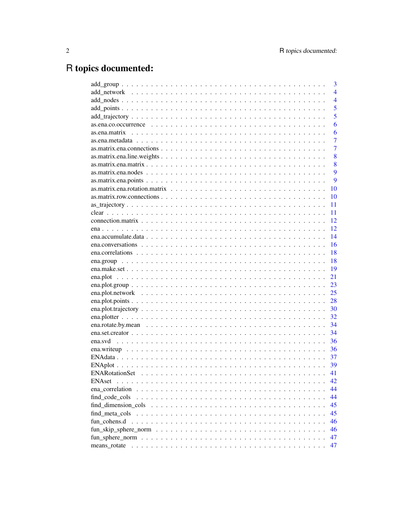# R topics documented:

|                                                                                                                   | 3              |
|-------------------------------------------------------------------------------------------------------------------|----------------|
|                                                                                                                   | $\overline{4}$ |
|                                                                                                                   | $\overline{4}$ |
|                                                                                                                   | 5              |
|                                                                                                                   | 5              |
| as.ena.co.occurrence $\ldots \ldots \ldots \ldots \ldots \ldots \ldots \ldots \ldots \ldots \ldots \ldots \ldots$ | 6              |
|                                                                                                                   | 6              |
|                                                                                                                   | 7              |
|                                                                                                                   | 7              |
|                                                                                                                   | 8              |
|                                                                                                                   | 8              |
|                                                                                                                   | 9              |
|                                                                                                                   | 9              |
|                                                                                                                   | 10             |
|                                                                                                                   | 10             |
|                                                                                                                   | 11             |
|                                                                                                                   | 11             |
|                                                                                                                   | 12             |
|                                                                                                                   | 12             |
|                                                                                                                   | 14             |
|                                                                                                                   | 16             |
|                                                                                                                   | 18             |
|                                                                                                                   | 18             |
|                                                                                                                   | 19             |
|                                                                                                                   | 21             |
|                                                                                                                   | 23             |
|                                                                                                                   | 25             |
|                                                                                                                   | 28             |
|                                                                                                                   | 30             |
|                                                                                                                   | 32             |
|                                                                                                                   | 34             |
|                                                                                                                   | 34             |
|                                                                                                                   | 36             |
|                                                                                                                   | 36             |
|                                                                                                                   | 37             |
|                                                                                                                   |                |
|                                                                                                                   | 41             |
| <b>ENAset</b>                                                                                                     | 42             |
| ena correlation                                                                                                   | 44             |
| find_code_cols                                                                                                    | 44             |
|                                                                                                                   | 45             |
|                                                                                                                   | 45             |
| fun cohens.d                                                                                                      | 46             |
|                                                                                                                   | 46             |
|                                                                                                                   | 47             |
| means rotate                                                                                                      | 47             |
|                                                                                                                   |                |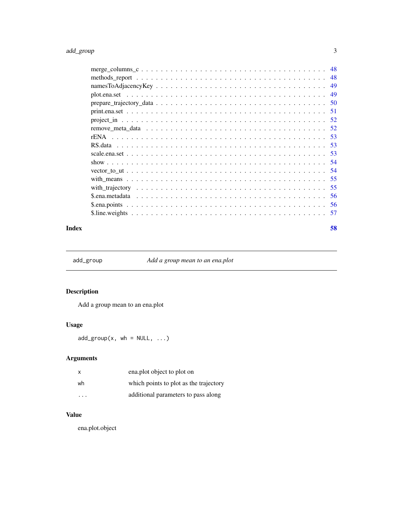## <span id="page-2-0"></span>add\_group 3

|  | -48 |
|--|-----|
|  | 49  |
|  | 49  |
|  | .50 |
|  |     |
|  |     |
|  |     |
|  |     |
|  |     |
|  |     |
|  |     |
|  |     |
|  | 55  |
|  |     |
|  |     |
|  | -56 |
|  |     |
|  |     |

#### **Index [58](#page-57-0) Second Line Control Control Control Control Control Control Control Control Control Control Control Co**

add\_group *Add a group mean to an ena.plot*

## Description

Add a group mean to an ena.plot

## Usage

 $add\_group(x, wh = NULL, ...)$ 

## Arguments

|    | ena.plot object to plot on             |
|----|----------------------------------------|
| wh | which points to plot as the trajectory |
| .  | additional parameters to pass along    |

## Value

ena.plot.object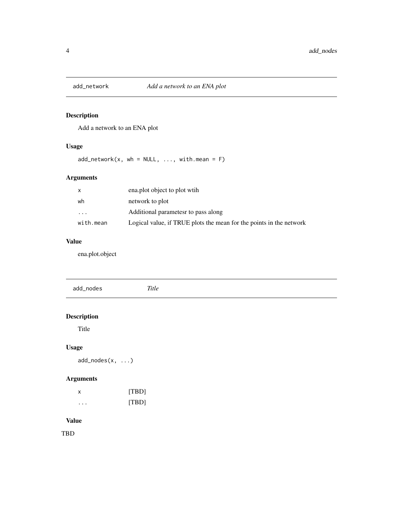<span id="page-3-0"></span>

## Description

Add a network to an ENA plot

## Usage

 $add\_network(x, wh = NULL, ..., withmean = F)$ 

## Arguments

| x         | ena.plot object to plot with                                        |
|-----------|---------------------------------------------------------------------|
| wh        | network to plot                                                     |
| $\ddotsc$ | Additional parametes to pass along                                  |
| with.mean | Logical value, if TRUE plots the mean for the points in the network |

## Value

ena.plot.object

| add_nodes          | Title |  |  |
|--------------------|-------|--|--|
|                    |       |  |  |
| <b>Description</b> |       |  |  |
| Title              |       |  |  |
| <b>Usage</b>       |       |  |  |
| $add\_nodes(x, )$  |       |  |  |
| <b>Arguments</b>   |       |  |  |
| $\pmb{\times}$     | [TBD] |  |  |
| .                  | [TBD] |  |  |
| <b>Value</b>       |       |  |  |

TBD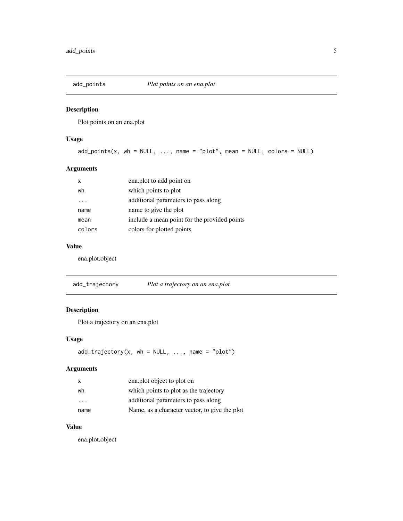<span id="page-4-0"></span>

## Description

Plot points on an ena.plot

## Usage

 $add\_points(x, wh = NULL, ..., name = "plot", mean = NULL, colors = NULL)$ 

## Arguments

| x      | ena.plot to add point on                     |
|--------|----------------------------------------------|
| wh     | which points to plot                         |
|        | additional parameters to pass along          |
| name   | name to give the plot                        |
| mean   | include a mean point for the provided points |
| colors | colors for plotted points                    |

## Value

ena.plot.object

add\_trajectory *Plot a trajectory on an ena.plot*

## Description

Plot a trajectory on an ena.plot

## Usage

```
add\_trajectory(x, wh = NULL, ..., name = "plot")
```
## Arguments

| x    | ena.plot object to plot on                    |
|------|-----------------------------------------------|
| wh   | which points to plot as the trajectory        |
| .    | additional parameters to pass along           |
| name | Name, as a character vector, to give the plot |

## Value

ena.plot.object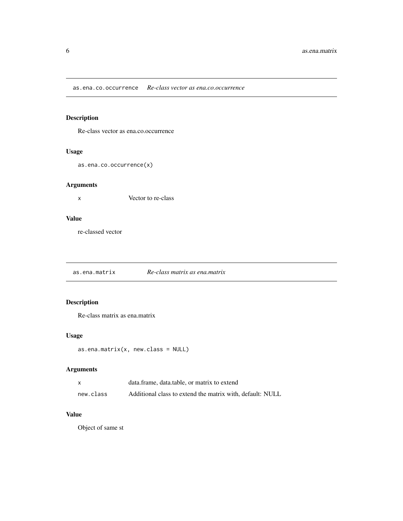<span id="page-5-0"></span>as.ena.co.occurrence *Re-class vector as ena.co.occurrence*

## Description

Re-class vector as ena.co.occurrence

## Usage

as.ena.co.occurrence(x)

## Arguments

x Vector to re-class

## Value

re-classed vector

as.ena.matrix *Re-class matrix as ena.matrix*

## Description

Re-class matrix as ena.matrix

## Usage

```
as.ena.matrix(x, new.class = NULL)
```
## Arguments

|           | data.frame. data.table. or matrix to extend               |
|-----------|-----------------------------------------------------------|
| new.class | Additional class to extend the matrix with, default: NULL |

## Value

Object of same st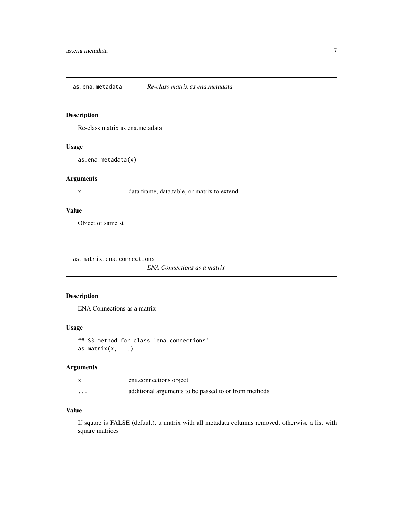<span id="page-6-0"></span>as.ena.metadata *Re-class matrix as ena.metadata*

## Description

Re-class matrix as ena.metadata

#### Usage

as.ena.metadata(x)

### Arguments

x data.frame, data.table, or matrix to extend

### Value

Object of same st

as.matrix.ena.connections

*ENA Connections as a matrix*

## Description

ENA Connections as a matrix

### Usage

## S3 method for class 'ena.connections' as.matrix $(x, \ldots)$ 

## Arguments

|          | ena.connections object                               |
|----------|------------------------------------------------------|
| $\cdots$ | additional arguments to be passed to or from methods |

### Value

If square is FALSE (default), a matrix with all metadata columns removed, otherwise a list with square matrices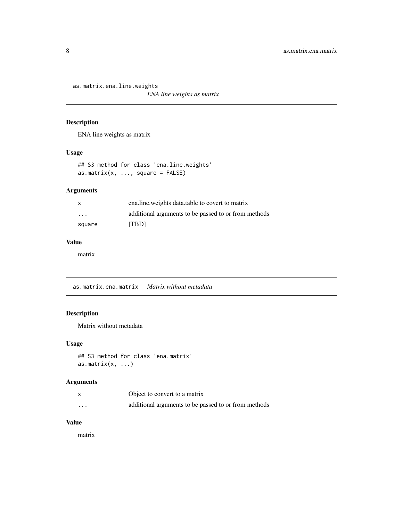<span id="page-7-0"></span>as.matrix.ena.line.weights

*ENA line weights as matrix*

## Description

ENA line weights as matrix

## Usage

```
## S3 method for class 'ena.line.weights'
as.matrix(x, ..., square = FALSE)
```
## Arguments

| $\mathsf{x}$            | enaline weights data table to covert to matrix       |
|-------------------------|------------------------------------------------------|
| $\cdot$ $\cdot$ $\cdot$ | additional arguments to be passed to or from methods |
| square                  | <b>TBDI</b>                                          |

## Value

matrix

as.matrix.ena.matrix *Matrix without metadata*

## Description

Matrix without metadata

### Usage

```
## S3 method for class 'ena.matrix'
as.matrix(x, \ldots)
```
## Arguments

|   | Object to convert to a matrix                        |
|---|------------------------------------------------------|
| . | additional arguments to be passed to or from methods |

### Value

matrix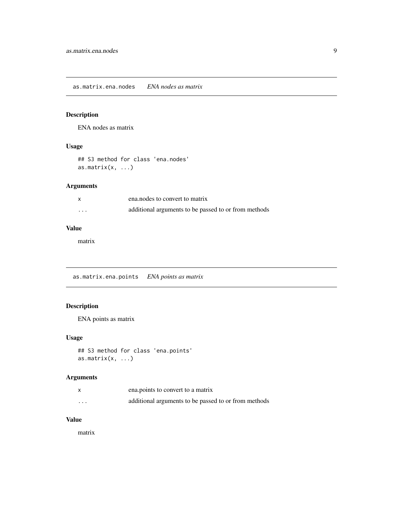## <span id="page-8-0"></span>Description

ENA nodes as matrix

#### Usage

## S3 method for class 'ena.nodes' as.matrix $(x, \ldots)$ 

## Arguments

|   | ena, nodes to convert to matrix                      |
|---|------------------------------------------------------|
| . | additional arguments to be passed to or from methods |

## Value

matrix

as.matrix.ena.points *ENA points as matrix*

## Description

ENA points as matrix

## Usage

```
## S3 method for class 'ena.points'
as.matrix(x, \ldots)
```
## Arguments

|          | ena.points to convert to a matrix                    |
|----------|------------------------------------------------------|
| $\cdots$ | additional arguments to be passed to or from methods |

## Value

matrix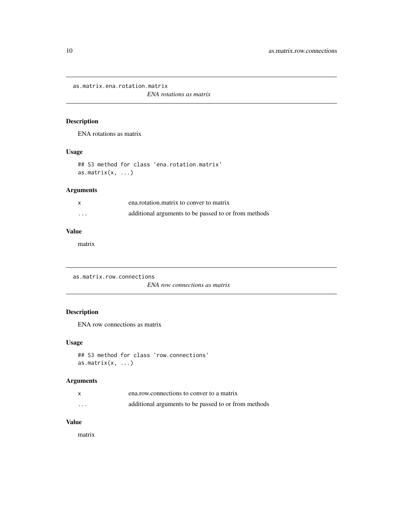<span id="page-9-0"></span>as.matrix.ena.rotation.matrix

*ENA rotations as matrix*

## Description

ENA rotations as matrix

## Usage

## S3 method for class 'ena.rotation.matrix' as.matrix $(x, \ldots)$ 

## Arguments

|         | ena.rotation.matrix to conver to matrix              |
|---------|------------------------------------------------------|
| $\cdot$ | additional arguments to be passed to or from methods |

### Value

matrix

as.matrix.row.connections

*ENA row connections as matrix*

## Description

ENA row connections as matrix

### Usage

```
## S3 method for class 'row.connections'
as.matrix(x, \ldots)
```
## Arguments

|          | ena.row.connections to conver to a matrix            |
|----------|------------------------------------------------------|
| $\cdots$ | additional arguments to be passed to or from methods |

## Value

matrix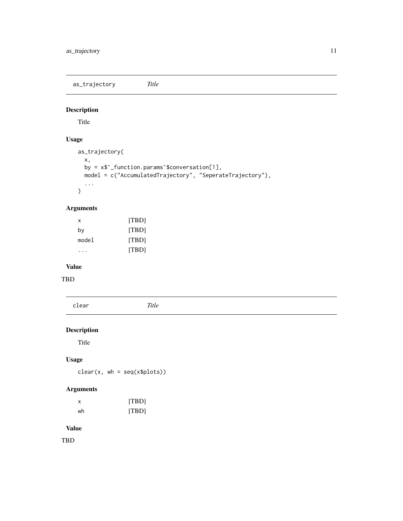<span id="page-10-0"></span>as\_trajectory *Title*

## Description

Title

## Usage

```
as_trajectory(
  x,
  by = x$`_function.params`$conversation[1],
 model = c("AccumulatedTrajectory", "SeperateTrajectory"),
  ...
\mathcal{L}
```
## Arguments

| x     | [TBD] |
|-------|-------|
| by    | [TBD] |
| mode1 | [TBD] |
|       | [TBD] |

## Value

TBD

| clear              | Title |  |  |
|--------------------|-------|--|--|
| <b>Description</b> |       |  |  |
| Title              |       |  |  |
| <b>Usage</b>       |       |  |  |

# clear(x, wh = seq(x\$plots))

## Arguments

| х  | [TBD] |
|----|-------|
| wh | [TBD] |

## Value

TBD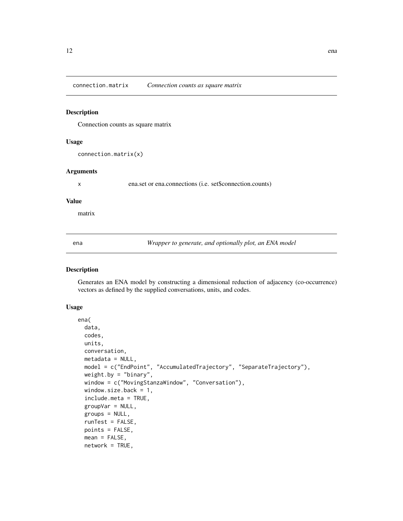<span id="page-11-0"></span>connection.matrix *Connection counts as square matrix*

### Description

Connection counts as square matrix

#### Usage

connection.matrix(x)

#### Arguments

x ena.set or ena.connections (i.e. set\$connection.counts)

#### Value

matrix

ena *Wrapper to generate, and optionally plot, an ENA model*

### Description

Generates an ENA model by constructing a dimensional reduction of adjacency (co-occurrence) vectors as defined by the supplied conversations, units, and codes.

```
ena(
  data,
  codes,
  units,
  conversation,
 metadata = NULL,
 model = c("EndPoint", "AccumulatedTrajectory", "SeparateTrajectory"),
  weight.by = "binary",
 window = c("MovingStanzaWindow", "Conversation"),
  window.size.back = 1,
  include.meta = TRUE,
  groupVar = NULL,
  groups = NULL,
  runTest = FALSE,
  points = FALSE,
  mean = FALSE,network = TRUE,
```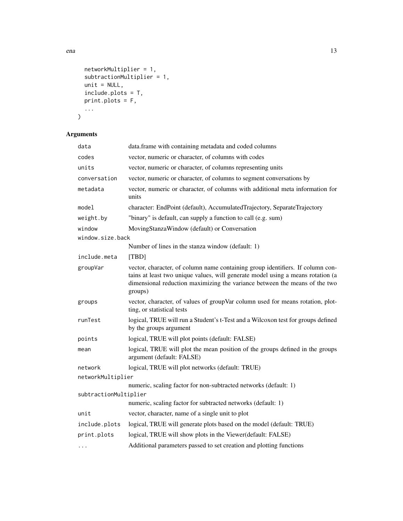```
networkMultiplier = 1,
  subtractionMultiplier = 1,
 unit = NULL,include.plots = T,
 print.plots = F,
  ...
\mathcal{L}
```
## Arguments

| data                  | data.frame with containing metadata and coded columns                                                                                                                                                                                                      |
|-----------------------|------------------------------------------------------------------------------------------------------------------------------------------------------------------------------------------------------------------------------------------------------------|
| codes                 | vector, numeric or character, of columns with codes                                                                                                                                                                                                        |
| units                 | vector, numeric or character, of columns representing units                                                                                                                                                                                                |
| conversation          | vector, numeric or character, of columns to segment conversations by                                                                                                                                                                                       |
| metadata              | vector, numeric or character, of columns with additional meta information for<br>units                                                                                                                                                                     |
| model                 | character: EndPoint (default), AccumulatedTrajectory, SeparateTrajectory                                                                                                                                                                                   |
| weight.by             | "binary" is default, can supply a function to call (e.g. sum)                                                                                                                                                                                              |
| window                | MovingStanzaWindow (default) or Conversation                                                                                                                                                                                                               |
| window.size.back      |                                                                                                                                                                                                                                                            |
|                       | Number of lines in the stanza window (default: 1)                                                                                                                                                                                                          |
| include.meta          | [TBD]                                                                                                                                                                                                                                                      |
| groupVar              | vector, character, of column name containing group identifiers. If column con-<br>tains at least two unique values, will generate model using a means rotation (a<br>dimensional reduction maximizing the variance between the means of the two<br>groups) |
| groups                | vector, character, of values of groupVar column used for means rotation, plot-                                                                                                                                                                             |
|                       | ting, or statistical tests                                                                                                                                                                                                                                 |
| runTest               | logical, TRUE will run a Student's t-Test and a Wilcoxon test for groups defined<br>by the groups argument                                                                                                                                                 |
| points                | logical, TRUE will plot points (default: FALSE)                                                                                                                                                                                                            |
| mean                  | logical, TRUE will plot the mean position of the groups defined in the groups<br>argument (default: FALSE)                                                                                                                                                 |
| network               | logical, TRUE will plot networks (default: TRUE)                                                                                                                                                                                                           |
| networkMultiplier     |                                                                                                                                                                                                                                                            |
|                       | numeric, scaling factor for non-subtracted networks (default: 1)                                                                                                                                                                                           |
| subtractionMultiplier |                                                                                                                                                                                                                                                            |
|                       | numeric, scaling factor for subtracted networks (default: 1)                                                                                                                                                                                               |
| unit                  | vector, character, name of a single unit to plot                                                                                                                                                                                                           |
| include.plots         | logical, TRUE will generate plots based on the model (default: TRUE)                                                                                                                                                                                       |
| print.plots           | logical, TRUE will show plots in the Viewer(default: FALSE)                                                                                                                                                                                                |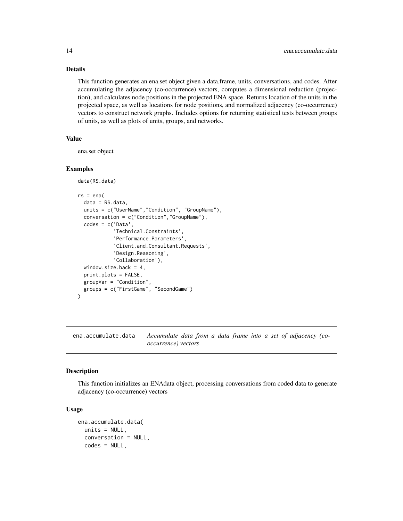## Details

This function generates an ena.set object given a data.frame, units, conversations, and codes. After accumulating the adjacency (co-occurrence) vectors, computes a dimensional reduction (projection), and calculates node positions in the projected ENA space. Returns location of the units in the projected space, as well as locations for node positions, and normalized adjacency (co-occurrence) vectors to construct network graphs. Includes options for returning statistical tests between groups of units, as well as plots of units, groups, and networks.

### Value

ena.set object

#### Examples

```
data(RS.data)
rs = ena(data = RS.data,
 units = c("UserName","Condition", "GroupName"),
 conversation = c("Condition","GroupName"),
 codes = c('Data',
            'Technical.Constraints',
            'Performance.Parameters',
            'Client.and.Consultant.Requests',
            'Design.Reasoning',
            'Collaboration'),
```

```
window.size.back = 4,
print.plots = FALSE,
groupVar = "Condition",
groups = c("FirstGame", "SecondGame")
```
<span id="page-13-1"></span>ena.accumulate.data *Accumulate data from a data frame into a set of adjacency (cooccurrence) vectors*

#### Description

 $\lambda$ 

This function initializes an ENAdata object, processing conversations from coded data to generate adjacency (co-occurrence) vectors

```
ena.accumulate.data(
 units = NULL,conversation = NULL,
 codes = NULL,
```
<span id="page-13-0"></span>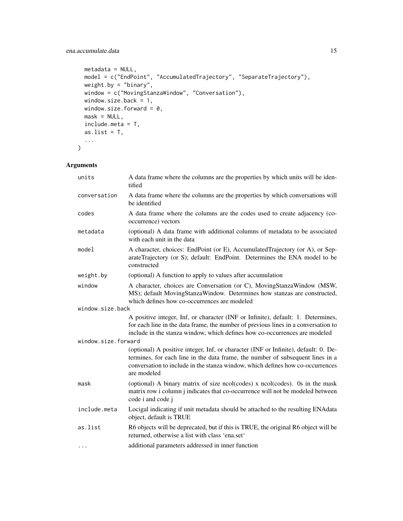```
metadata = NULL,model = c("EndPoint", "AccumulatedTrajectory", "SeparateTrajectory"),
 weight.by = "binary",
 window = c("MovingStanzaWindow", "Conversation"),
 window.size.back = 1,
 window.size.forward = 0,
 mask = NULL,include.meta = T,
 as.list = T,
  ...
\mathcal{L}
```
## Arguments

| units               | A data frame where the columns are the properties by which units will be iden-<br>tified                                                                                                                                                                               |
|---------------------|------------------------------------------------------------------------------------------------------------------------------------------------------------------------------------------------------------------------------------------------------------------------|
| conversation        | A data frame where the columns are the properties by which conversations will<br>be identified                                                                                                                                                                         |
| codes               | A data frame where the columns are the codes used to create adjacency (co-<br>occurrence) vectors                                                                                                                                                                      |
| metadata            | (optional) A data frame with additional columns of metadata to be associated<br>with each unit in the data                                                                                                                                                             |
| model               | A character, choices: EndPoint (or E), AccumulatedTrajectory (or A), or Sep-<br>arateTrajectory (or S); default: EndPoint. Determines the ENA model to be<br>constructed                                                                                               |
| weight.by           | (optional) A function to apply to values after accumulation                                                                                                                                                                                                            |
| window              | A character, choices are Conversation (or C), MovingStanzaWindow (MSW,<br>MS); default MovingStanzaWindow. Determines how stanzas are constructed,<br>which defines how co-occurrences are modeled                                                                     |
| window.size.back    |                                                                                                                                                                                                                                                                        |
|                     | A positive integer, Inf, or character (INF or Infinite), default: 1. Determines,<br>for each line in the data frame, the number of previous lines in a conversation to<br>include in the stanza window, which defines how co-occurrences are modeled                   |
| window.size.forward |                                                                                                                                                                                                                                                                        |
|                     | (optional) A positive integer, Inf, or character (INF or Infinite), default: 0. De-<br>termines, for each line in the data frame, the number of subsequent lines in a<br>conversation to include in the stanza window, which defines how co-occurrences<br>are modeled |
| mask                | (optional) A binary matrix of size ncol(codes) x ncol(codes). Os in the mask<br>matrix row i column j indicates that co-occurrence will not be modeled between<br>code i and code j                                                                                    |
| include.meta        | Locigal indicating if unit metadata should be attached to the resulting ENAdata<br>object, default is TRUE                                                                                                                                                             |
| as.list             | R6 objects will be deprecated, but if this is TRUE, the original R6 object will be<br>returned, otherwise a list with class 'ena.set'                                                                                                                                  |
| $\cdots$            | additional parameters addressed in inner function                                                                                                                                                                                                                      |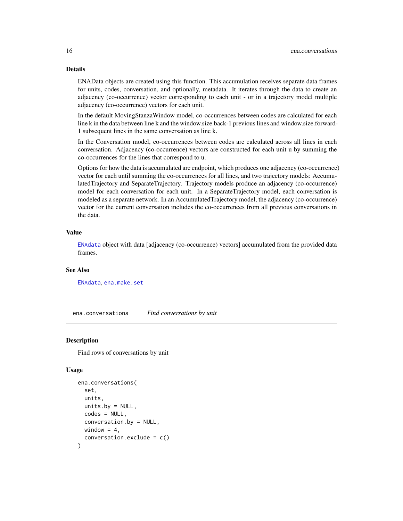### Details

ENAData objects are created using this function. This accumulation receives separate data frames for units, codes, conversation, and optionally, metadata. It iterates through the data to create an adjacency (co-occurrence) vector corresponding to each unit - or in a trajectory model multiple adjacency (co-occurrence) vectors for each unit.

In the default MovingStanzaWindow model, co-occurrences between codes are calculated for each line k in the data between line k and the window.size.back-1 previous lines and window.size.forward-1 subsequent lines in the same conversation as line k.

In the Conversation model, co-occurrences between codes are calculated across all lines in each conversation. Adjacency (co-occurrence) vectors are constructed for each unit u by summing the co-occurrences for the lines that correspond to u.

Options for how the data is accumulated are endpoint, which produces one adjacency (co-occurrence) vector for each until summing the co-occurrences for all lines, and two trajectory models: AccumulatedTrajectory and SeparateTrajectory. Trajectory models produce an adjacency (co-occurrence) model for each conversation for each unit. In a SeparateTrajectory model, each conversation is modeled as a separate network. In an AccumulatedTrajectory model, the adjacency (co-occurrence) vector for the current conversation includes the co-occurrences from all previous conversations in the data.

#### Value

[ENAdata](#page-36-1) object with data [adjacency (co-occurrence) vectors] accumulated from the provided data frames.

### See Also

[ENAdata](#page-36-1), [ena.make.set](#page-18-1)

ena.conversations *Find conversations by unit*

#### Description

Find rows of conversations by unit

```
ena.conversations(
  set,
  units,
  units.by = NULL,
  codes = NULL,
  conversation.by = NULL,
 window = 4.
  conversion. exclude = c())
```
<span id="page-15-0"></span>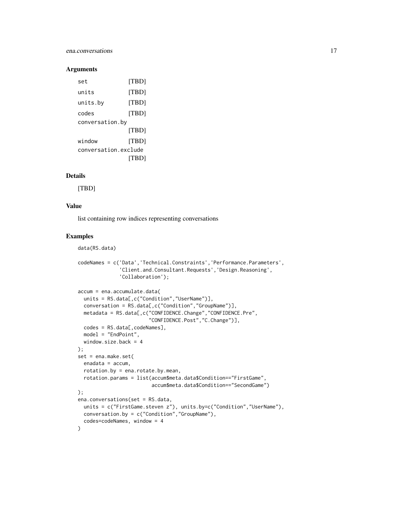### ena.conversations 17

#### Arguments

| set                  | [TBD] |
|----------------------|-------|
| units                | [TBD] |
| units.by             | [TBD] |
| codes                | ITBD1 |
| conversation.by      |       |
|                      | [TBD] |
| window               | [TBD] |
| conversation.exclude |       |
|                      | TBDI  |

## Details

[TBD]

## Value

list containing row indices representing conversations

#### Examples

```
data(RS.data)
codeNames = c('Data','Technical.Constraints','Performance.Parameters',
              'Client.and.Consultant.Requests','Design.Reasoning',
              'Collaboration');
accum = ena.accumulate.data(
  units = RS.data[,c("Condition","UserName")],
  conversation = RS.data[,c("Condition","GroupName")],
  metadata = RS.data[,c("CONFIDENCE.Change","CONFIDENCE.Pre",
                        "CONFIDENCE.Post","C.Change")],
  codes = RS.data[, codeNames],
  model = "EndPoint",
  window.size.back = 4
);
set = ena.make.set(
  enadata = accum,
  rotation.by = ena.rotate.by.mean,
  rotation.params = list(accum$meta.data$Condition=="FirstGame",
                         accum$meta.data$Condition=="SecondGame")
);
ena.conversations(set = RS.data,
  units = c("FirstGame.steven z"), units.by=c("Condition","UserName"),
  conversation.by = c("Condition","GroupName"),
  codes=codeNames, window = 4
)
```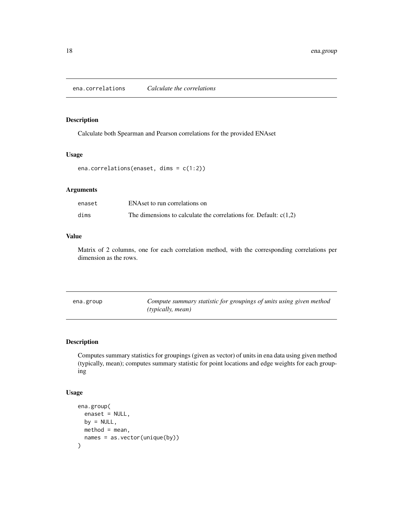<span id="page-17-0"></span>ena.correlations *Calculate the correlations*

### Description

Calculate both Spearman and Pearson correlations for the provided ENAset

#### Usage

```
ena.correlations(enaset, dims = c(1:2))
```
## Arguments

| enaset | ENAset to run correlations on                                       |
|--------|---------------------------------------------------------------------|
| dims   | The dimensions to calculate the correlations for. Default: $c(1,2)$ |

### Value

Matrix of 2 columns, one for each correlation method, with the corresponding correlations per dimension as the rows.

| ena.group | Compute summary statistic for groupings of units using given method |
|-----------|---------------------------------------------------------------------|
|           | ( <i>typically, mean</i> )                                          |

### Description

Computes summary statistics for groupings (given as vector) of units in ena data using given method (typically, mean); computes summary statistic for point locations and edge weights for each grouping

```
ena.group(
 enaset = NULL,
 by = NULL,
 method = mean,names = as.vector(unique(by))
)
```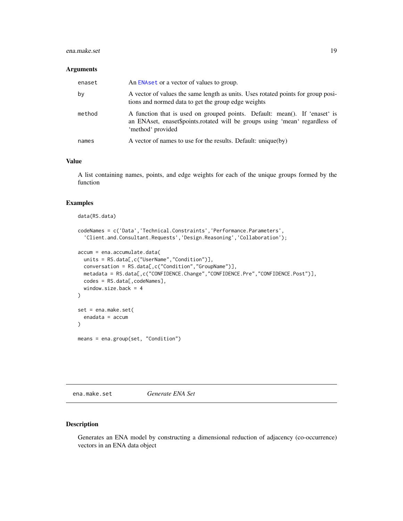#### <span id="page-18-0"></span>ena.make.set 19

#### Arguments

| enaset | An ENA set or a vector of values to group.                                                                                                                                     |
|--------|--------------------------------------------------------------------------------------------------------------------------------------------------------------------------------|
| by     | A vector of values the same length as units. Uses rotated points for group posi-<br>tions and normed data to get the group edge weights                                        |
| method | A function that is used on grouped points. Default: mean(). If 'enaset' is<br>an ENAset, enaset\$points.rotated will be groups using 'mean' regardless of<br>'method' provided |
| names  | A vector of names to use for the results. Default: unique(by)                                                                                                                  |

#### Value

A list containing names, points, and edge weights for each of the unique groups formed by the function

### Examples

```
data(RS.data)
codeNames = c('Data','Technical.Constraints','Performance.Parameters',
  'Client.and.Consultant.Requests','Design.Reasoning','Collaboration');
accum = ena.accumulate.data(
  units = RS.data[,c("UserName","Condition")],
  conversation = RS.data[,c("Condition","GroupName")],
  metadata = RS.data[,c("CONFIDENCE.Change","CONFIDENCE.Pre","CONFIDENCE.Post")],
  codes = RS.data[, codeNames],
  window.size.back = 4
)
set = ena.make.set(
  enadata = accum
)
means = ena.group(set, "Condition")
```
<span id="page-18-1"></span>ena.make.set *Generate ENA Set*

### Description

Generates an ENA model by constructing a dimensional reduction of adjacency (co-occurrence) vectors in an ENA data object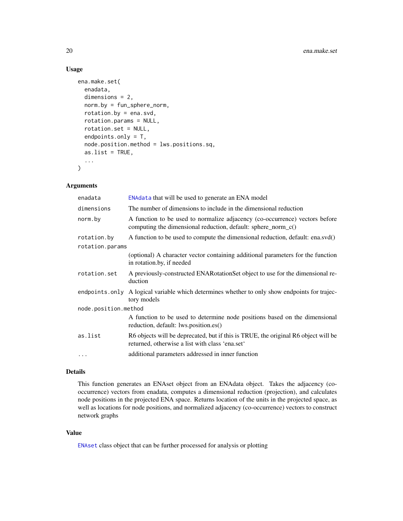## Usage

```
ena.make.set(
  enadata,
  dimensions = 2,
  norm.by = fun_sphere_norm,
  rotation.by = ena.svd,
  rotation.params = NULL,
  rotation.set = NULL,
  endpoints.only = T,
  node.position.method = lws.positions.sq,
  as.list = TRUE,...
\mathcal{L}
```
### Arguments

| enadata              | ENAdata that will be used to generate an ENA model                                                                                           |  |
|----------------------|----------------------------------------------------------------------------------------------------------------------------------------------|--|
| dimensions           | The number of dimensions to include in the dimensional reduction                                                                             |  |
| norm.by              | A function to be used to normalize adjacency (co-occurrence) vectors before<br>computing the dimensional reduction, default: sphere_norm_c() |  |
| rotation.by          | A function to be used to compute the dimensional reduction, default: ena.svd()                                                               |  |
| rotation.params      |                                                                                                                                              |  |
|                      | (optional) A character vector containing additional parameters for the function<br>in rotation.by, if needed                                 |  |
| rotation.set         | A previously-constructed ENAR otation Set object to use for the dimensional re-<br>duction                                                   |  |
| endpoints.only       | A logical variable which determines whether to only show endpoints for trajec-<br>tory models                                                |  |
| node.position.method |                                                                                                                                              |  |
|                      | A function to be used to determine node positions based on the dimensional<br>reduction, default: lws.position.es()                          |  |
| as.list              | R6 objects will be deprecated, but if this is TRUE, the original R6 object will be<br>returned, otherwise a list with class 'ena.set'        |  |
| .                    | additional parameters addressed in inner function                                                                                            |  |

#### Details

This function generates an ENAset object from an ENAdata object. Takes the adjacency (cooccurrence) vectors from enadata, computes a dimensional reduction (projection), and calculates node positions in the projected ENA space. Returns location of the units in the projected space, as well as locations for node positions, and normalized adjacency (co-occurrence) vectors to construct network graphs

### Value

[ENAset](#page-41-1) class object that can be further processed for analysis or plotting

<span id="page-19-0"></span>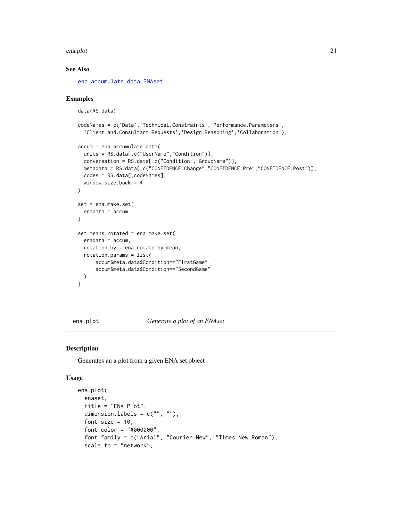#### <span id="page-20-0"></span>ena.plot 21

## See Also

[ena.accumulate.data](#page-13-1), [ENAset](#page-41-1)

#### Examples

```
data(RS.data)
codeNames = c('Data','Technical.Constraints','Performance.Parameters',
  'Client.and.Consultant.Requests','Design.Reasoning','Collaboration');
accum = ena.accumulate.data(
  units = RS.data[,c("UserName","Condition")],
  conversation = RS.data[,c("Condition","GroupName")],
 metadata = RS.data[,c("CONFIDENCE.Change","CONFIDENCE.Pre","CONFIDENCE.Post")],
  codes = RS.data[, codeNames],
  window.size.back = 4
\mathcal{L}set = ena.make.set(
  enadata = accum
\lambdaset.means.rotated = ena.make.set(
  enadata = accum,
  rotation.by = ena.rotate.by.mean,
  rotation.params = list(
      accum$meta.data$Condition=="FirstGame",
      accum$meta.data$Condition=="SecondGame"
  \lambda\mathcal{L}
```
<span id="page-20-1"></span>ena.plot *Generate a plot of an ENAset*

## Description

Generates an a plot from a given ENA set object

```
ena.plot(
  enaset,
  title = "ENA Plot",
  dimension.labels = c("", ""),
  font.size = 10.
  font.color = "#000000",
  font.family = c("Arial", "Courier New", "Times New Roman"),
  scale.to = "network",
```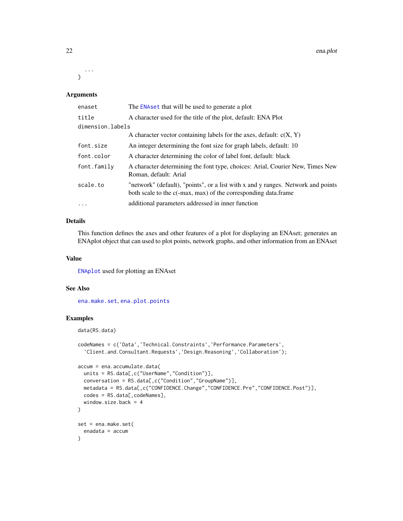22 ena.plot

... )

## Arguments

| enaset           | The ENA set that will be used to generate a plot                                                                                                   |
|------------------|----------------------------------------------------------------------------------------------------------------------------------------------------|
| title            | A character used for the title of the plot, default: ENA Plot                                                                                      |
| dimension.labels |                                                                                                                                                    |
|                  | A character vector containing labels for the axes, default: $c(X, Y)$                                                                              |
| font.size        | An integer determining the font size for graph labels, default: 10                                                                                 |
| font.color       | A character determining the color of label font, default: black                                                                                    |
| font.family      | A character determining the font type, choices: Arial, Courier New, Times New<br>Roman, default: Arial                                             |
| scale.to         | "network" (default), "points", or a list with x and y ranges. Network and points<br>both scale to the c(-max, max) of the corresponding data.frame |
| $\cdot$          | additional parameters addressed in inner function                                                                                                  |

## Details

This function defines the axes and other features of a plot for displaying an ENAset; generates an ENAplot object that can used to plot points, network graphs, and other information from an ENAset

#### Value

[ENAplot](#page-38-1) used for plotting an ENAset

#### See Also

[ena.make.set](#page-18-1), [ena.plot.points](#page-27-1)

## Examples

```
data(RS.data)
```

```
codeNames = c('Data','Technical.Constraints','Performance.Parameters',
  'Client.and.Consultant.Requests','Design.Reasoning','Collaboration');
accum = ena.accumulate.data(
  units = RS.data[,c("UserName","Condition")],
  conversation = RS.data[,c("Condition","GroupName")],
  metadata = RS.data[,c("CONFIDENCE.Change","CONFIDENCE.Pre","CONFIDENCE.Post")],
  codes = RS.data[, codeNames],
  window.size.back = 4
)
set = ena.make.set(
  enadata = accum
\lambda
```
<span id="page-21-0"></span>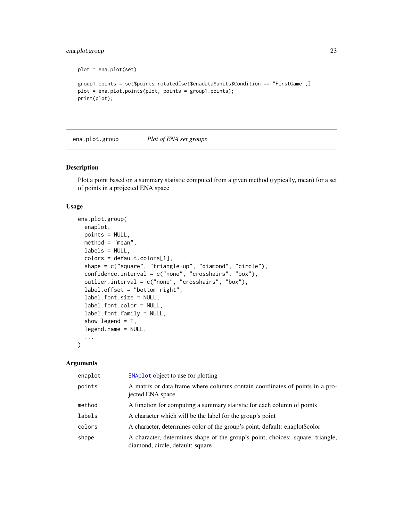## <span id="page-22-0"></span>ena.plot.group 23

```
plot = ena.plot(set)
group1.points = set$points.rotated[set$enadata$units$Condition == "FirstGame",]
plot = ena.plot.points(plot, points = group1.points);
print(plot);
```
<span id="page-22-1"></span>ena.plot.group *Plot of ENA set groups*

### Description

Plot a point based on a summary statistic computed from a given method (typically, mean) for a set of points in a projected ENA space

#### Usage

```
ena.plot.group(
  enaplot,
 points = NULL,
 method = "mean",
  labels = NULL,
  colors = default.colors[1],
  shape = c("square", "triangle-up", "diamond", "circle"),
  confidence.interval = c("none", "crosshairs", "box"),
  outlier.interval = c("none", "crosshairs", "box"),
  label.offset = "bottom right",
  label.font.size = NULL,
  label.font.color = NULL,
  label.font.family = NULL,
  show.legend = T,
  legend.name = NULL,
  ...
\mathcal{L}
```
#### Arguments

| enaplot | <b>ENAplot</b> object to use for plotting                                                                          |
|---------|--------------------------------------------------------------------------------------------------------------------|
| points  | A matrix or data.frame where columns contain coordinates of points in a pro-<br>jected ENA space                   |
| method  | A function for computing a summary statistic for each column of points                                             |
| labels  | A character which will be the label for the group's point                                                          |
| colors  | A character, determines color of the group's point, default: enaplot\$color                                        |
| shape   | A character, determines shape of the group's point, choices: square, triangle,<br>diamond, circle, default: square |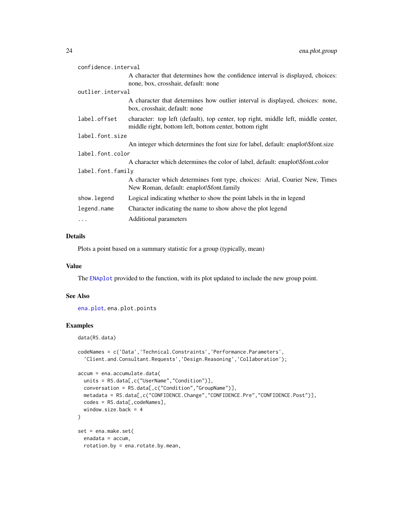<span id="page-23-0"></span>

| confidence.interval |                                                                                                                                             |  |
|---------------------|---------------------------------------------------------------------------------------------------------------------------------------------|--|
|                     | A character that determines how the confidence interval is displayed, choices:<br>none, box, crosshair, default: none                       |  |
| outlier.interval    |                                                                                                                                             |  |
|                     | A character that determines how outlier interval is displayed, choices: none,<br>box, crosshair, default: none                              |  |
| label.offset        | character: top left (default), top center, top right, middle left, middle center,<br>middle right, bottom left, bottom center, bottom right |  |
| label.font.size     |                                                                                                                                             |  |
|                     | An integer which determines the font size for label, default: enaplot\\$font.size                                                           |  |
| label.font.color    |                                                                                                                                             |  |
|                     | A character which determines the color of label, default: enaplot\\$font.color                                                              |  |
| label.font.family   |                                                                                                                                             |  |
|                     | A character which determines font type, choices: Arial, Courier New, Times<br>New Roman, default: enaplot\\$font.family                     |  |
| show.legend         | Logical indicating whether to show the point labels in the in legend                                                                        |  |
| legend.name         | Character indicating the name to show above the plot legend                                                                                 |  |
| $\cdots$            | Additional parameters                                                                                                                       |  |

#### Details

Plots a point based on a summary statistic for a group (typically, mean)

#### Value

The [ENAplot](#page-38-1) provided to the function, with its plot updated to include the new group point.

## See Also

[ena.plot](#page-20-1), ena.plot.points

## Examples

data(RS.data)

```
codeNames = c('Data','Technical.Constraints','Performance.Parameters',
  'Client.and.Consultant.Requests','Design.Reasoning','Collaboration');
accum = ena.accumulate.data(
  units = RS.data[,c("UserName","Condition")],
  conversation = RS.data[,c("Condition","GroupName")],
  metadata = RS.data[,c("CONFIDENCE.Change","CONFIDENCE.Pre","CONFIDENCE.Post")],
  codes = RS.data[, codeNames],
  window.size.back = 4
)
set = ena.make.set(
  enadata = accum,
  rotation.by = ena.rotate.by.mean,
```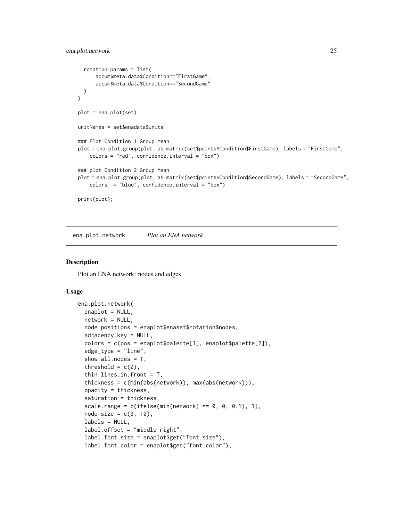```
rotation.params = list(
      accum$meta.data$Condition=="FirstGame",
      accum$meta.data$Condition=="SecondGame"
 )
\mathcal{L}plot = ena.plot(set)
unitNames = set$enadata$units
### Plot Condition 1 Group Mean
plot = ena.plot.group(plot, as.matrix(set$points$Condition$FirstGame), labels = "FirstGame",
    colors = "red", confidence.interval = "box")
### plot Condition 2 Group Mean
plot = ena.plot.group(plot, as.matrix(set$points$Condition$SecondGame), labels = "SecondGame",
    colors = "blue", confidence.interval = "box")
print(plot);
```
ena.plot.network *Plot an ENA network*

#### **Description**

Plot an ENA network: nodes and edges

```
ena.plot.network(
  enaplot = NULL,
  network = NULL,
  node.positions = enaplot$enaset$rotation$nodes,
  adjacency.key = NULL,
  colors = c(pos = enaplot$palette[1], enaplot$palette[2]),
  edge_type = "line",
  show.all.nodes = T,
  threshold = c(\emptyset),
  thin.lines.in.front = T,
  thickness = c(min(abs(network)), max(abs(network))),
  opacity = thickness,
  saturation = thickness,
  scale.range = c(ifelse(min(network) == 0, 0, 0.1), 1),
  node.size = c(3, 10),
  labels = NULL,
  label.offset = "middle right",
  label.font.size = enaplot$get("font.size"),
  label.font.color = enaplot$get("font.color"),
```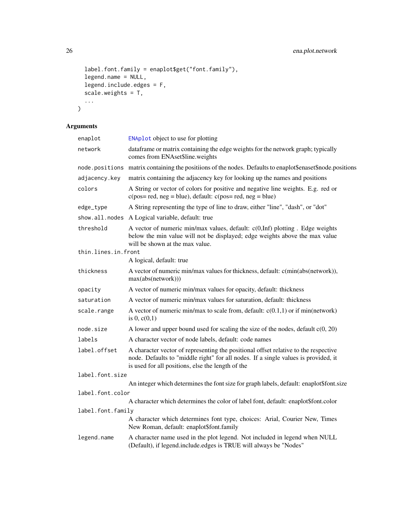```
label.font.family = enaplot$get("font.family"),
  legend.name = NULL,
  legend.include.edges = F,
  scale.weights = \overline{T},
  ...
\overline{)}
```
## Arguments

| enaplot             | ENAplot object to use for plotting                                                                                                                                                                                             |  |
|---------------------|--------------------------------------------------------------------------------------------------------------------------------------------------------------------------------------------------------------------------------|--|
| network             | dataframe or matrix containing the edge weights for the network graph; typically<br>comes from ENAset\$line.weights                                                                                                            |  |
| node.positions      | matrix containing the positiions of the nodes. Defaults to enaplot\$enaset\$node.positions                                                                                                                                     |  |
| adjacency.key       | matrix containing the adjacency key for looking up the names and positions                                                                                                                                                     |  |
| colors              | A String or vector of colors for positive and negative line weights. E.g. red or<br>$c(pos = red, neg = blue)$ , default: $c(pos = red, neg = blue)$                                                                           |  |
| edge_type           | A String representing the type of line to draw, either "line", "dash", or "dot"                                                                                                                                                |  |
| show.all.nodes      | A Logical variable, default: true                                                                                                                                                                                              |  |
| threshold           | A vector of numeric min/max values, default: $c(0, \text{Inf})$ plotting. Edge weights<br>below the min value will not be displayed; edge weights above the max value<br>will be shown at the max value.                       |  |
| thin.lines.in.front |                                                                                                                                                                                                                                |  |
|                     | A logical, default: true                                                                                                                                                                                                       |  |
| thickness           | A vector of numeric min/max values for thickness, default: c(min(abs(network)),<br>max(abs(network)))                                                                                                                          |  |
| opacity             | A vector of numeric min/max values for opacity, default: thickness                                                                                                                                                             |  |
| saturation          | A vector of numeric min/max values for saturation, default: thickness                                                                                                                                                          |  |
| scale.range         | A vector of numeric min/max to scale from, default: $c(0.1,1)$ or if min(network)<br>is $0, c(0,1)$                                                                                                                            |  |
| node.size           | A lower and upper bound used for scaling the size of the nodes, default $c(0, 20)$                                                                                                                                             |  |
| labels              | A character vector of node labels, default: code names                                                                                                                                                                         |  |
| label.offset        | A character vector of representing the positional offset relative to the respective<br>node. Defaults to "middle right" for all nodes. If a single values is provided, it<br>is used for all positions, else the length of the |  |
| label.font.size     |                                                                                                                                                                                                                                |  |
|                     | An integer which determines the font size for graph labels, default: enaplot\$font.size                                                                                                                                        |  |
| label.font.color    |                                                                                                                                                                                                                                |  |
|                     | A character which determines the color of label font, default: enaplot\$font.color                                                                                                                                             |  |
| label.font.family   |                                                                                                                                                                                                                                |  |
|                     | A character which determines font type, choices: Arial, Courier New, Times<br>New Roman, default: enaplot\$font.family                                                                                                         |  |
| legend.name         | A character name used in the plot legend. Not included in legend when NULL<br>(Default), if legend.include.edges is TRUE will always be "Nodes"                                                                                |  |

<span id="page-25-0"></span>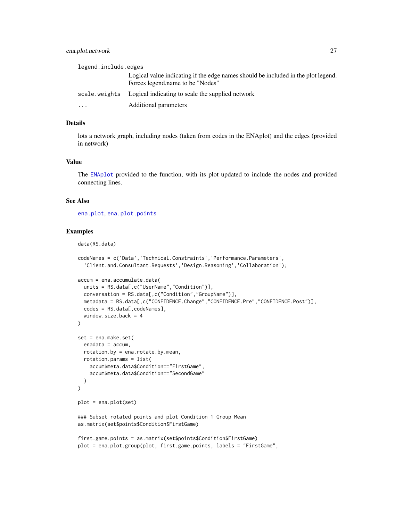### <span id="page-26-0"></span>ena.plot.network 27

| legend.include.edges |                                                                                                                       |  |
|----------------------|-----------------------------------------------------------------------------------------------------------------------|--|
|                      | Logical value indicating if the edge names should be included in the plot legend.<br>Forces legend.name to be "Nodes" |  |
|                      | scale, we ights Logical indicating to scale the supplied network                                                      |  |
| $\ddotsc$            | Additional parameters                                                                                                 |  |

### Details

lots a network graph, including nodes (taken from codes in the ENAplot) and the edges (provided in network)

### Value

The [ENAplot](#page-38-1) provided to the function, with its plot updated to include the nodes and provided connecting lines.

### See Also

[ena.plot](#page-20-1), [ena.plot.points](#page-27-1)

## Examples

data(RS.data)

```
codeNames = c('Data','Technical.Constraints','Performance.Parameters',
  'Client.and.Consultant.Requests','Design.Reasoning','Collaboration');
accum = ena.accumulate.data(
  units = RS.data[,c("UserName","Condition")],
  conversation = RS.data[,c("Condition","GroupName")],
  metadata = RS.data[,c("CONFIDENCE.Change","CONFIDENCE.Pre","CONFIDENCE.Post")],
  codes = RS.data[, codeNames],
  window.size.back = 4
)
set = ena.make.set(
  enadata = accum,
  rotation.by = ena.rotate.by.mean,
  rotation.params = list(
    accum$meta.data$Condition=="FirstGame",
    accum$meta.data$Condition=="SecondGame"
  )
\mathcal{L}plot = ena.plot(set)
### Subset rotated points and plot Condition 1 Group Mean
as.matrix(set$points$Condition$FirstGame)
first.game.points = as.matrix(set$points$Condition$FirstGame)
plot = ena.plot.group(plot, first.game.points, labels = "FirstGame",
```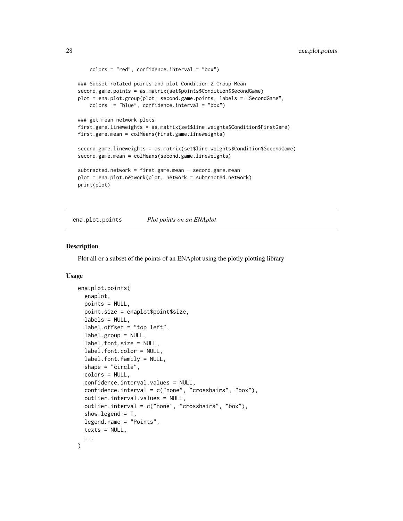```
colors = "red", confidence.interval = "box")
### Subset rotated points and plot Condition 2 Group Mean
second.game.points = as.matrix(set$points$Condition$SecondGame)
plot = ena.plot.group(plot, second.game.points, labels = "SecondGame",
   colors = "blue", confidence.interval = "box")
### get mean network plots
first.game.lineweights = as.matrix(set$line.weights$Condition$FirstGame)
first.game.mean = colMeans(first.game.lineweights)
second.game.lineweights = as.matrix(set$line.weights$Condition$SecondGame)
second.game.mean = colMeans(second.game.lineweights)
subtracted.network = first.game.mean - second.game.mean
plot = ena.plot.network(plot, network = subtracted.network)
print(plot)
```
<span id="page-27-1"></span>ena.plot.points *Plot points on an ENAplot*

#### Description

Plot all or a subset of the points of an ENAplot using the plotly plotting library

```
ena.plot.points(
  enaplot,
 points = NULL,
  point.size = enaplot$point$size,
  labels = NULL,
  label.offset = "top left",
  label.group = NULL,
  label.font.size = NULL,
  label.font.color = NULL,
  label.font.family = NULL,shape = "circle",
  colors = NULL,
  confidence.interval.values = NULL,
  confidence.interval = c("none", "crosshairs", "box"),
  outlier.interval.values = NULL,
  outlier.interval = c("none", "crosshairs", "box"),
  show.legend = T,
  legend.name = "Points",
  text s = NULL,...
)
```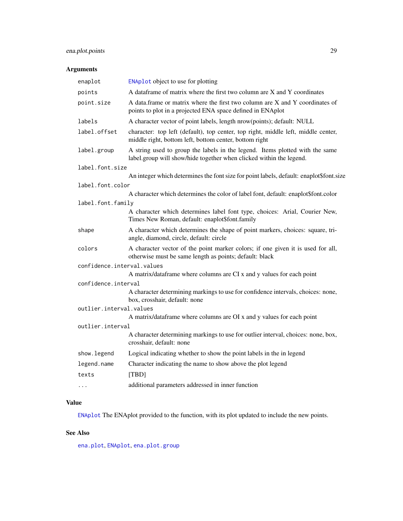## <span id="page-28-0"></span>ena.plot.points 29

## Arguments

| enaplot                    | ENAplot object to use for plotting                                                                                                                  |
|----------------------------|-----------------------------------------------------------------------------------------------------------------------------------------------------|
| points                     | A dataframe of matrix where the first two column are X and Y coordinates                                                                            |
| point.size                 | A data.frame or matrix where the first two column are X and Y coordinates of<br>points to plot in a projected ENA space defined in ENAplot          |
| labels                     | A character vector of point labels, length nrow(points); default: NULL                                                                              |
| label.offset               | character: top left (default), top center, top right, middle left, middle center,<br>middle right, bottom left, bottom center, bottom right         |
| label.group                | A string used to group the labels in the legend. Items plotted with the same<br>label.group will show/hide together when clicked within the legend. |
| label.font.size            |                                                                                                                                                     |
|                            | An integer which determines the font size for point labels, default: enaplot\$font.size                                                             |
| label.font.color           |                                                                                                                                                     |
|                            | A character which determines the color of label font, default: enaplot\$font.color                                                                  |
| label.font.family          |                                                                                                                                                     |
|                            | A character which determines label font type, choices: Arial, Courier New,<br>Times New Roman, default: enaplot\$font.family                        |
| shape                      | A character which determines the shape of point markers, choices: square, tri-<br>angle, diamond, circle, default: circle                           |
| colors                     | A character vector of the point marker colors; if one given it is used for all,<br>otherwise must be same length as points; default: black          |
| confidence.interval.values |                                                                                                                                                     |
|                            | A matrix/dataframe where columns are CI x and y values for each point                                                                               |
| confidence.interval        |                                                                                                                                                     |
|                            | A character determining markings to use for confidence intervals, choices: none,<br>box, crosshair, default: none                                   |
| outlier.interval.values    |                                                                                                                                                     |
|                            | A matrix/dataframe where columns are OI x and y values for each point                                                                               |
| outlier.interval           |                                                                                                                                                     |
|                            | A character determining markings to use for outlier interval, choices: none, box,<br>crosshair, default: none                                       |
| show. legend               | Logical indicating whether to show the point labels in the in legend                                                                                |
| legend.name                | Character indicating the name to show above the plot legend                                                                                         |
| texts                      | [TBD]                                                                                                                                               |
| $\cdots$                   | additional parameters addressed in inner function                                                                                                   |

## Value

[ENAplot](#page-38-1) The ENAplot provided to the function, with its plot updated to include the new points.

## See Also

[ena.plot](#page-20-1), [ENAplot](#page-38-1), [ena.plot.group](#page-22-1)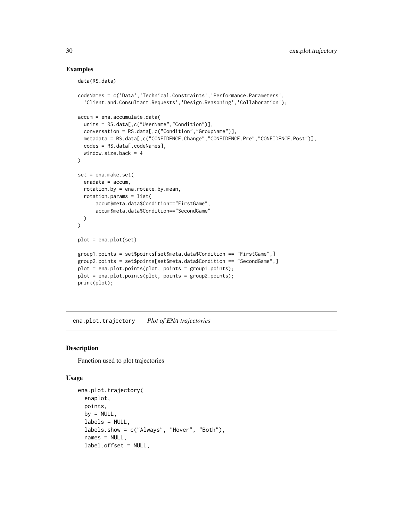### Examples

```
data(RS.data)
codeNames = c('Data','Technical.Constraints','Performance.Parameters',
  'Client.and.Consultant.Requests','Design.Reasoning','Collaboration');
accum = ena.accumulate.data(
  units = RS.data[,c("UserName","Condition")],
  conversation = RS.data[,c("Condition","GroupName")],
  metadata = RS.data[,c("CONFIDENCE.Change","CONFIDENCE.Pre","CONFIDENCE.Post")],
  codes = RS.data[, codeNames],
  window.size.back = 4
\mathcal{L}set = ena.make.set(
  enadata = accum,
  rotation.by = ena.rotate.by.mean,
  rotation.params = list(
      accum$meta.data$Condition=="FirstGame",
      accum$meta.data$Condition=="SecondGame"
  )
\overline{)}plot = ena.plot(set)
group1.points = set$points[set$meta.data$Condition == "FirstGame",]
group2.points = set$points[set$meta.data$Condition == "SecondGame",]
plot = ena.plot.points(plot, points = group1.points);
plot = ena.plot.points(plot, points = group2.points);
print(plot);
```
ena.plot.trajectory *Plot of ENA trajectories*

#### Description

Function used to plot trajectories

```
ena.plot.trajectory(
 enaplot,
 points,
 by = NULL,
  labels = NULL,
  labels.show = c("Always", "Hover", "Both"),
  names = NULL,
  label.offset = NULL,
```
<span id="page-29-0"></span>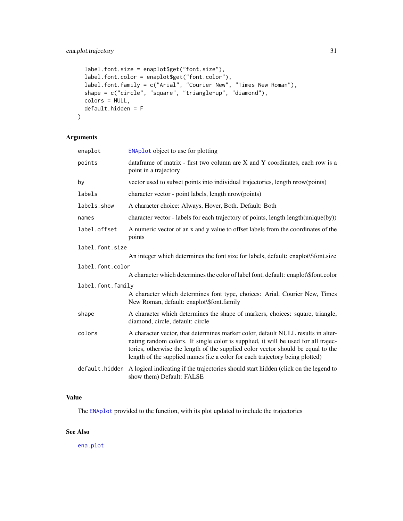```
label.font.size = enaplot$get("font.size"),
label.font.color = enaplot$get("font.color"),
label.font.family = c("Arial", "Courier New", "Times New Roman"),
shape = c("circle", "square", "triangle-up", "diamond"),
colors = NULL,
default.hidden = F
```
## Arguments

)

| enaplot           | <b>ENAplot</b> object to use for plotting                                                                                                                                                                                                                                                                                                  |  |
|-------------------|--------------------------------------------------------------------------------------------------------------------------------------------------------------------------------------------------------------------------------------------------------------------------------------------------------------------------------------------|--|
| points            | dataframe of matrix - first two column are X and Y coordinates, each row is a<br>point in a trajectory                                                                                                                                                                                                                                     |  |
| by                | vector used to subset points into individual trajectories, length nrow(points)                                                                                                                                                                                                                                                             |  |
| labels            | character vector - point labels, length nrow(points)                                                                                                                                                                                                                                                                                       |  |
| labels.show       | A character choice: Always, Hover, Both. Default: Both                                                                                                                                                                                                                                                                                     |  |
| names             | character vector - labels for each trajectory of points, length length(unique(by))                                                                                                                                                                                                                                                         |  |
| label.offset      | A numeric vector of an x and y value to offset labels from the coordinates of the<br>points                                                                                                                                                                                                                                                |  |
| label.font.size   |                                                                                                                                                                                                                                                                                                                                            |  |
|                   | An integer which determines the font size for labels, default: enaplot\\$font.size                                                                                                                                                                                                                                                         |  |
| label.font.color  |                                                                                                                                                                                                                                                                                                                                            |  |
|                   | A character which determines the color of label font, default: enaplot\\$font.color                                                                                                                                                                                                                                                        |  |
| label.font.family |                                                                                                                                                                                                                                                                                                                                            |  |
|                   | A character which determines font type, choices: Arial, Courier New, Times<br>New Roman, default: enaplot\\$font.family                                                                                                                                                                                                                    |  |
| shape             | A character which determines the shape of markers, choices: square, triangle,<br>diamond, circle, default: circle                                                                                                                                                                                                                          |  |
| colors            | A character vector, that determines marker color, default NULL results in alter-<br>nating random colors. If single color is supplied, it will be used for all trajec-<br>tories, otherwise the length of the supplied color vector should be equal to the<br>length of the supplied names (i.e a color for each trajectory being plotted) |  |
| default.hidden    | A logical indicating if the trajectories should start hidden (click on the legend to<br>show them) Default: FALSE                                                                                                                                                                                                                          |  |

### Value

The [ENAplot](#page-38-1) provided to the function, with its plot updated to include the trajectories

## See Also

[ena.plot](#page-20-1)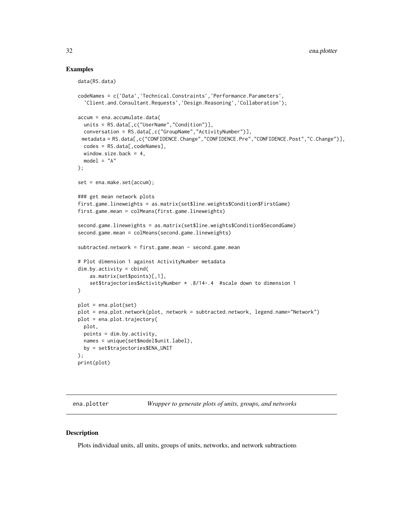### Examples

```
data(RS.data)
codeNames = c('Data','Technical.Constraints','Performance.Parameters',
  'Client.and.Consultant.Requests','Design.Reasoning','Collaboration');
accum = ena.accumulate.data(
  units = RS.data[,c("UserName","Condition")],
  conversation = RS.data[,c("GroupName","ActivityNumber")],
 metadata = RS.data[,c("CONFIDENCE.Change","CONFIDENCE.Pre","CONFIDENCE.Post","C.Change")],
  codes = RS.data[,codeNames],
  window.size.back = 4,
  model = "A");
set = ena.make.set(accum);
### get mean network plots
first.game.lineweights = as.matrix(set$line.weights$Condition$FirstGame)
first.game.mean = colMeans(first.game.lineweights)
second.game.lineweights = as.matrix(set$line.weights$Condition$SecondGame)
second.game.mean = colMeans(second.game.lineweights)
subtracted.network = first.game.mean - second.game.mean
# Plot dimension 1 against ActivityNumber metadata
dim.by.activity = cbind(
    as.matrix(set$points)[,1],
    set$trajectories$ActivityNumber * .8/14-.4 #scale down to dimension 1
\lambdaplot = ena.plot(set)
plot = ena.plot.network(plot, network = subtracted.network, legend.name="Network")
plot = ena.plot.trajectory(
  plot,
  points = dim.by.activity,
  names = unique(set$model$unit.label),
  by = set$trajectories$ENA_UNIT
);
print(plot)
```
ena.plotter *Wrapper to generate plots of units, groups, and networks*

#### Description

Plots individual units, all units, groups of units, networks, and network subtractions

<span id="page-31-0"></span>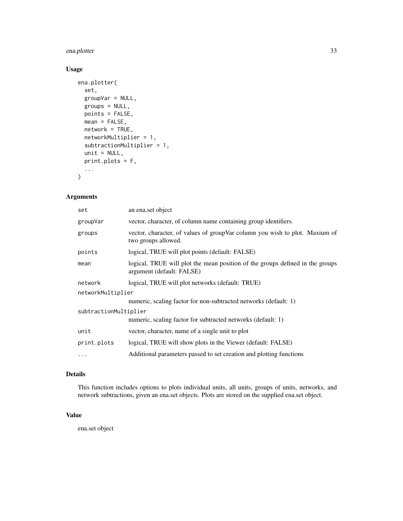## ena.plotter 33

## Usage

```
ena.plotter(
  set,
 groupVar = NULL,
 groups = NULL,
 points = FALSE,
 mean = FALSE,network = TRUE,
 networkMultiplier = 1,
  subtractionMultiplier = 1,
 unit = NULL,print.plots = F,
  ...
)
```
## Arguments

| set                   | an ena.set object                                                                                          |  |
|-----------------------|------------------------------------------------------------------------------------------------------------|--|
| groupVar              | vector, character, of column name containing group identifiers.                                            |  |
| groups                | vector, character, of values of groupVar column you wish to plot. Maxium of<br>two groups allowed.         |  |
| points                | logical, TRUE will plot points (default: FALSE)                                                            |  |
| mean                  | logical, TRUE will plot the mean position of the groups defined in the groups<br>argument (default: FALSE) |  |
| network               | logical, TRUE will plot networks (default: TRUE)                                                           |  |
| networkMultiplier     |                                                                                                            |  |
|                       | numeric, scaling factor for non-subtracted networks (default: 1)                                           |  |
| subtractionMultiplier |                                                                                                            |  |
|                       | numeric, scaling factor for subtracted networks (default: 1)                                               |  |
| unit                  | vector, character, name of a single unit to plot                                                           |  |
| print.plots           | logical, TRUE will show plots in the Viewer (default: FALSE)                                               |  |
| .                     | Additional parameters passed to set creation and plotting functions                                        |  |

## Details

This function includes options to plots individual units, all units, groups of units, networks, and network subtractions, given an ena.set objects. Plots are stored on the supplied ena.set object.

### Value

ena.set object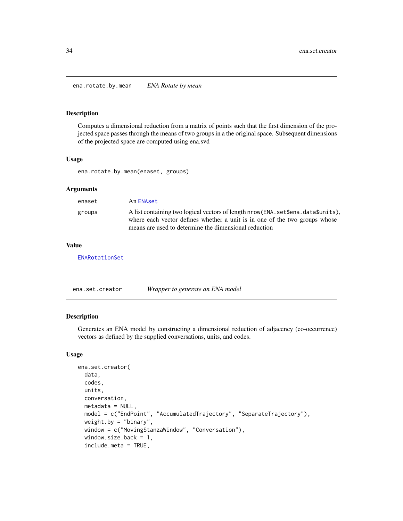<span id="page-33-0"></span>ena.rotate.by.mean *ENA Rotate by mean*

#### Description

Computes a dimensional reduction from a matrix of points such that the first dimension of the projected space passes through the means of two groups in a the original space. Subsequent dimensions of the projected space are computed using ena.svd

#### Usage

ena.rotate.by.mean(enaset, groups)

## Arguments

| enaset | An ENAset                                                                                                                                                                                                                   |
|--------|-----------------------------------------------------------------------------------------------------------------------------------------------------------------------------------------------------------------------------|
| groups | A list containing two logical vectors of length nrow (ENA, set \$ena, data \$units),<br>where each vector defines whether a unit is in one of the two groups whose<br>means are used to determine the dimensional reduction |

#### Value

[ENARotationSet](#page-40-1)

| ena.set.creator | Wrapper to generate an ENA model |  |
|-----------------|----------------------------------|--|
|-----------------|----------------------------------|--|

### Description

Generates an ENA model by constructing a dimensional reduction of adjacency (co-occurrence) vectors as defined by the supplied conversations, units, and codes.

```
ena.set.creator(
  data,
 codes,
 units,
 conversation,
 metadata = NULL,
 model = c("EndPoint", "AccumulatedTrajectory", "SeparateTrajectory"),
 weight.by = "binary",window = c("MovingStanzaWindow", "Conversation"),
 window.size.back = 1,
  include.meta = TRUE,
```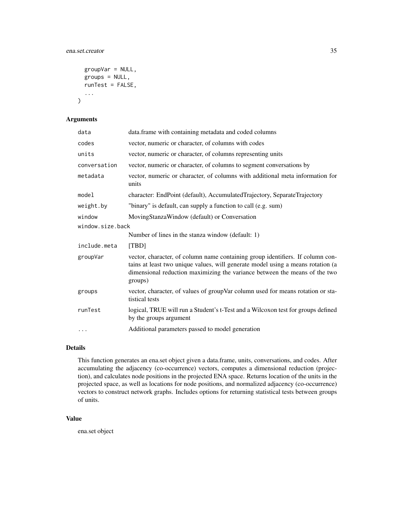### ena.set.creator 35

```
groupVar = NULL,
groups = NULL,
runTest = FALSE,
...
```
## Arguments

)

| data             | data.frame with containing metadata and coded columns                                                                                                                                                                                                      |  |
|------------------|------------------------------------------------------------------------------------------------------------------------------------------------------------------------------------------------------------------------------------------------------------|--|
| codes            | vector, numeric or character, of columns with codes                                                                                                                                                                                                        |  |
| units            | vector, numeric or character, of columns representing units                                                                                                                                                                                                |  |
| conversation     | vector, numeric or character, of columns to segment conversations by                                                                                                                                                                                       |  |
| metadata         | vector, numeric or character, of columns with additional meta information for<br>units                                                                                                                                                                     |  |
| model            | character: EndPoint (default), AccumulatedTrajectory, SeparateTrajectory                                                                                                                                                                                   |  |
| weight.by        | "binary" is default, can supply a function to call (e.g. sum)                                                                                                                                                                                              |  |
| window           | MovingStanzaWindow (default) or Conversation                                                                                                                                                                                                               |  |
| window.size.back |                                                                                                                                                                                                                                                            |  |
|                  | Number of lines in the stanza window (default: 1)                                                                                                                                                                                                          |  |
| include.meta     | [TBD]                                                                                                                                                                                                                                                      |  |
| groupVar         | vector, character, of column name containing group identifiers. If column con-<br>tains at least two unique values, will generate model using a means rotation (a<br>dimensional reduction maximizing the variance between the means of the two<br>groups) |  |
| groups           | vector, character, of values of groupVar column used for means rotation or sta-<br>tistical tests                                                                                                                                                          |  |
| runTest          | logical, TRUE will run a Student's t-Test and a Wilcoxon test for groups defined<br>by the groups argument                                                                                                                                                 |  |
| $\cdots$         | Additional parameters passed to model generation                                                                                                                                                                                                           |  |

## Details

This function generates an ena.set object given a data.frame, units, conversations, and codes. After accumulating the adjacency (co-occurrence) vectors, computes a dimensional reduction (projection), and calculates node positions in the projected ENA space. Returns location of the units in the projected space, as well as locations for node positions, and normalized adjacency (co-occurrence) vectors to construct network graphs. Includes options for returning statistical tests between groups of units.

#### Value

ena.set object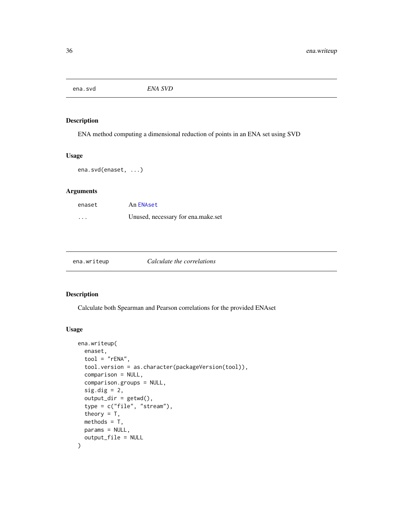<span id="page-35-0"></span>ena.svd *ENA SVD*

### Description

ENA method computing a dimensional reduction of points in an ENA set using SVD

#### Usage

```
ena.svd(enaset, ...)
```
## Arguments

| enaset   | An ENAset                          |
|----------|------------------------------------|
| $\cdots$ | Unused, necessary for ena.make.set |

| ena.writeup |  |  |  |  |
|-------------|--|--|--|--|
|             |  |  |  |  |
|             |  |  |  |  |

#### **Calculate the correlations**

#### Description

Calculate both Spearman and Pearson correlations for the provided ENAset

```
ena.writeup(
  enaset,
  tool = "rENA",tool.version = as.character(packageVersion(tool)),
  comparison = NULL,
  comparison.groups = NULL,
  sig.dig = 2,
  output\_dir = getwd(),
  type = c("file", "stream"),
  theory = T,
 methods = T,
 params = NULL,
  output_file = NULL
\mathcal{E}
```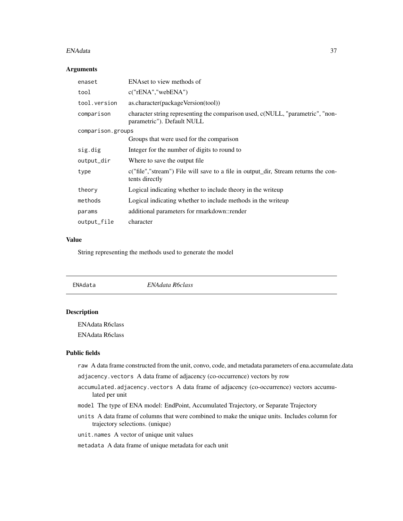#### <span id="page-36-0"></span>ENAdata 37

### Arguments

| enaset            | ENAset to view methods of                                                                                    |
|-------------------|--------------------------------------------------------------------------------------------------------------|
| tool              | c("rENA","webENA")                                                                                           |
| tool.version      | as.character(packageVersion(tool))                                                                           |
| comparison        | character string representing the comparison used, c(NULL, "parametric", "non-<br>parametric"). Default NULL |
| comparison.groups |                                                                                                              |
|                   | Groups that were used for the comparison                                                                     |
| sig.dig           | Integer for the number of digits to round to                                                                 |
| output_dir        | Where to save the output file.                                                                               |
| type              | c("file","stream") File will save to a file in output_dir, Stream returns the con-<br>tents directly         |
| theory            | Logical indicating whether to include theory in the writeup                                                  |
| methods           | Logical indicating whether to include methods in the writeup                                                 |
| params            | additional parameters for rmarkdown::render                                                                  |
| output_file       | character                                                                                                    |

### Value

String representing the methods used to generate the model

<span id="page-36-1"></span>

## Description

ENAdata R6class

ENAdata R6class

### Public fields

raw A data frame constructed from the unit, convo, code, and metadata parameters of ena.accumulate.data

adjacency.vectors A data frame of adjacency (co-occurrence) vectors by row

- accumulated.adjacency.vectors A data frame of adjacency (co-occurrence) vectors accumulated per unit
- model The type of ENA model: EndPoint, Accumulated Trajectory, or Separate Trajectory
- units A data frame of columns that were combined to make the unique units. Includes column for trajectory selections. (unique)
- unit.names A vector of unique unit values

metadata A data frame of unique metadata for each unit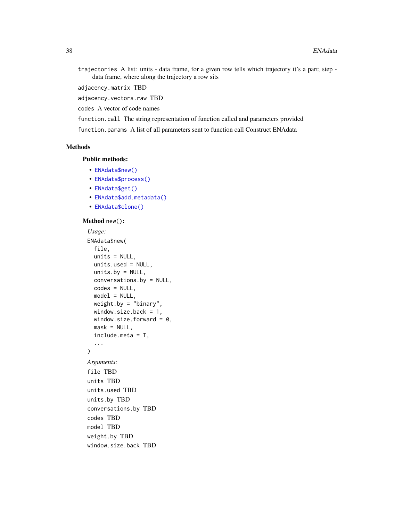trajectories A list: units - data frame, for a given row tells which trajectory it's a part; step data frame, where along the trajectory a row sits

adjacency.matrix TBD

adjacency.vectors.raw TBD

codes A vector of code names

function.call The string representation of function called and parameters provided

function.params A list of all parameters sent to function call Construct ENAdata

### Methods

## Public methods:

- [ENAdata\\$new\(\)](#page-37-0)
- [ENAdata\\$process\(\)](#page-38-2)
- [ENAdata\\$get\(\)](#page-38-3)
- [ENAdata\\$add.metadata\(\)](#page-38-4)
- [ENAdata\\$clone\(\)](#page-38-5)

### <span id="page-37-0"></span>Method new():

```
Usage:
ENAdata$new(
 file,
 units = NULL,
 units.used = NULL,
 units.by = NULL,conversations.by = NULL,
  codes = NULL,
 model = NULL,weight.by = "binary",window.size.back = 1,
 window.size.forward = 0,
 mask = NULL,include.meta = T,
  ...
)
Arguments:
file TBD
units TBD
units.used TBD
units.by TBD
conversations.by TBD
codes TBD
model TBD
weight.by TBD
window.size.back TBD
```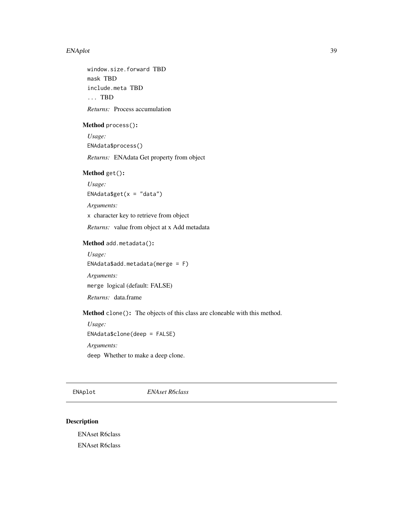#### <span id="page-38-0"></span>ENAplot 39

window.size.forward TBD mask TBD include.meta TBD ... TBD *Returns:* Process accumulation

#### <span id="page-38-2"></span>Method process():

*Usage:* ENAdata\$process() *Returns:* ENAdata Get property from object

## <span id="page-38-3"></span>Method get():

*Usage:* ENAdata\$get( $x = "data")$ 

*Arguments:*

x character key to retrieve from object

*Returns:* value from object at x Add metadata

## <span id="page-38-4"></span>Method add.metadata():

*Usage:* ENAdata\$add.metadata(merge = F) *Arguments:* merge logical (default: FALSE)

*Returns:* data.frame

<span id="page-38-5"></span>Method clone(): The objects of this class are cloneable with this method.

```
Usage:
ENAdata$clone(deep = FALSE)
Arguments:
```
deep Whether to make a deep clone.

<span id="page-38-1"></span>ENAplot *ENAset R6class*

### Description

ENAset R6class ENAset R6class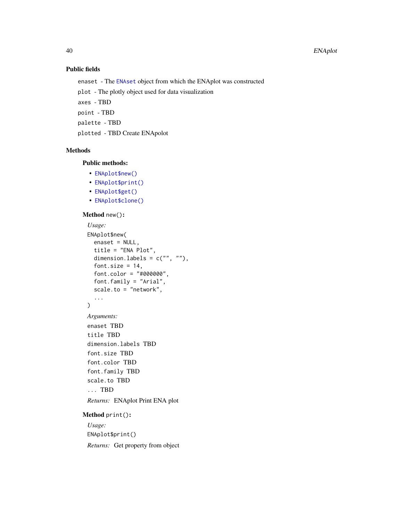## Public fields

enaset - The [ENAset](#page-41-1) object from which the ENAplot was constructed

plot - The plotly object used for data visualization

axes - TBD

point - TBD

palette - TBD

plotted - TBD Create ENApolot

### Methods

## Public methods:

- [ENAplot\\$new\(\)](#page-37-0)
- [ENAplot\\$print\(\)](#page-39-0)
- [ENAplot\\$get\(\)](#page-38-3)
- [ENAplot\\$clone\(\)](#page-38-5)

### Method new():

```
Usage:
 ENAplot$new(
   enaset = NULL,
   title = "ENA Plot",
   dimension.labels = c("", ""),
   font.size = 14,
   font.color = "#000000",
   font.family = "Arial",
   scale.to = "network",
   ...
 )
 Arguments:
 enaset TBD
 title TBD
 dimension.labels TBD
 font.size TBD
 font.color TBD
 font.family TBD
 scale.to TBD
 ... TBD
 Returns: ENAplot Print ENA plot
Method print():
 Usage:
 ENAplot$print()
```
<span id="page-39-0"></span>*Returns:* Get property from object

<span id="page-39-1"></span>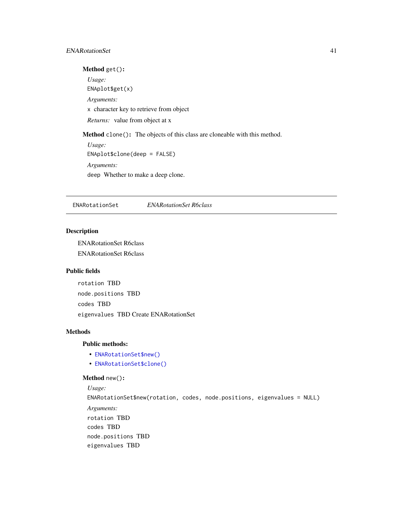### <span id="page-40-0"></span>ENARotationSet 41

## Method get():

*Usage:* ENAplot\$get(x) *Arguments:* x character key to retrieve from object *Returns:* value from object at x Method clone(): The objects of this class are cloneable with this method. *Usage:* ENAplot\$clone(deep = FALSE)

*Arguments:* deep Whether to make a deep clone.

<span id="page-40-1"></span>ENARotationSet *ENARotationSet R6class*

#### Description

ENARotationSet R6class ENARotationSet R6class

## Public fields

rotation TBD node.positions TBD codes TBD eigenvalues TBD Create ENARotationSet

### Methods

## Public methods:

- [ENARotationSet\\$new\(\)](#page-37-0)
- [ENARotationSet\\$clone\(\)](#page-38-5)

### Method new():

```
Usage:
ENARotationSet$new(rotation, codes, node.positions, eigenvalues = NULL)
Arguments:
rotation TBD
codes TBD
node.positions TBD
eigenvalues TBD
```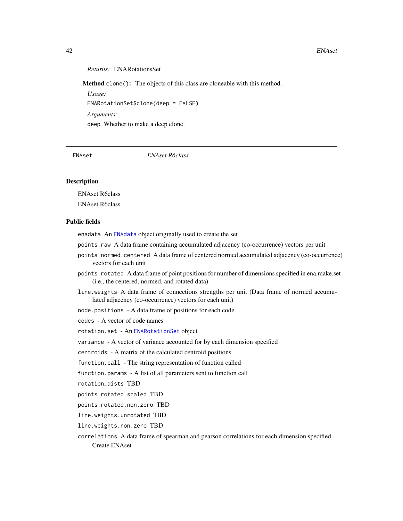#### <span id="page-41-0"></span>42 ENAset

### *Returns:* ENARotationsSet

Method clone(): The objects of this class are cloneable with this method.

*Usage:* ENARotationSet\$clone(deep = FALSE) *Arguments:* deep Whether to make a deep clone.

<span id="page-41-1"></span>ENAset *ENAset R6class*

#### Description

ENAset R6class

ENAset R6class

### Public fields

enadata An [ENAdata](#page-36-1) object originally used to create the set

- points.raw A data frame containing accumulated adjacency (co-occurrence) vectors per unit
- points.normed.centered A data frame of centered normed accumulated adjacency (co-occurrence) vectors for each unit
- points.rotated A data frame of point positions for number of dimensions specified in ena.make.set (i.e., the centered, normed, and rotated data)
- line.weights A data frame of connections strengths per unit (Data frame of normed accumulated adjacency (co-occurrence) vectors for each unit)
- node.positions A data frame of positions for each code

codes - A vector of code names

rotation.set - An [ENARotationSet](#page-40-1) object

variance - A vector of variance accounted for by each dimension specified

centroids - A matrix of the calculated centroid positions

function.call - The string representation of function called

function.params - A list of all parameters sent to function call

rotation\_dists TBD

points.rotated.scaled TBD

points.rotated.non.zero TBD

line.weights.unrotated TBD

line.weights.non.zero TBD

correlations A data frame of spearman and pearson correlations for each dimension specified Create ENAset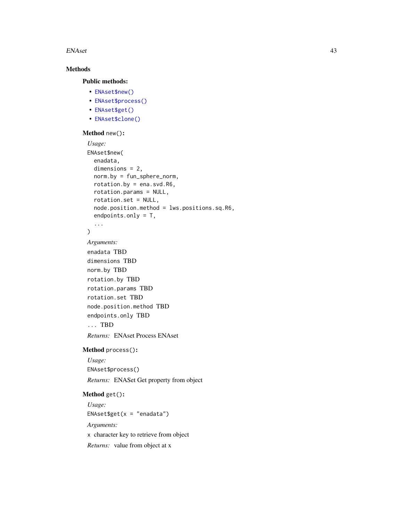#### ENAset 43

## Methods

## Public methods:

- [ENAset\\$new\(\)](#page-37-0)
- [ENAset\\$process\(\)](#page-38-2)
- [ENAset\\$get\(\)](#page-38-3)
- [ENAset\\$clone\(\)](#page-38-5)

#### Method new():

```
Usage:
ENAset$new(
  enadata,
  dimensions = 2,
  norm.by = fun_sphere_norm,
  rotation.by = ena.svd.R6,
  rotation.params = NULL,
 rotation.set = NULL,
  node.position.method = lws.positions.sq.R6,
  endpoints.only = T,
  ...
\lambda
```
*Arguments:* enadata TBD

```
dimensions TBD
norm.by TBD
rotation.by TBD
rotation.params TBD
rotation.set TBD
node.position.method TBD
endpoints.only TBD
... TBD
```
*Returns:* ENAset Process ENAset

## Method process():

*Usage:* ENAset\$process() *Returns:* ENASet Get property from object

#### Method get():

*Usage:* ENAset\$get(x = "enadata") *Arguments:* x character key to retrieve from object *Returns:* value from object at x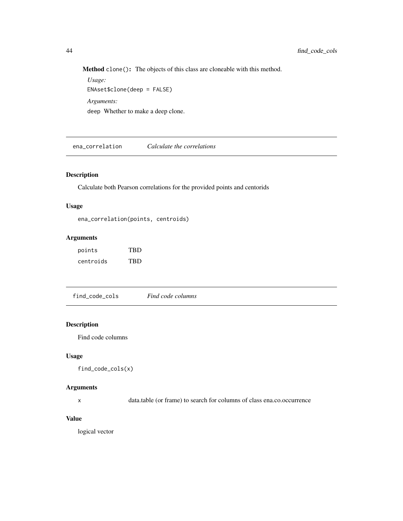Method clone(): The objects of this class are cloneable with this method.

*Usage:* ENAset\$clone(deep = FALSE) *Arguments:* deep Whether to make a deep clone.

ena\_correlation *Calculate the correlations*

## Description

Calculate both Pearson correlations for the provided points and centorids

## Usage

ena\_correlation(points, centroids)

#### Arguments

| points    | <b>TRD</b> |
|-----------|------------|
| centroids | <b>TRD</b> |

find\_code\_cols *Find code columns*

### Description

Find code columns

## Usage

find\_code\_cols(x)

## Arguments

x data.table (or frame) to search for columns of class ena.co.occurrence

### Value

logical vector

<span id="page-43-0"></span>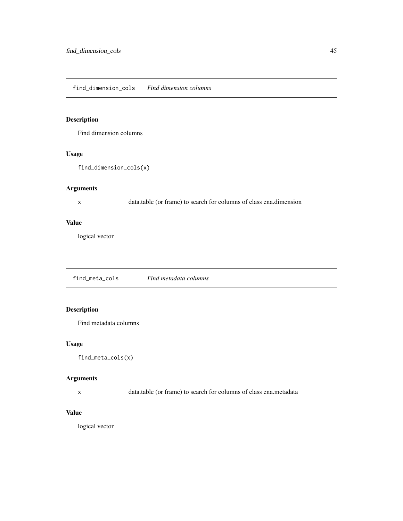#### <span id="page-44-0"></span>find\_dimension\_cols *Find dimension columns*

## Description

Find dimension columns

## Usage

```
find_dimension_cols(x)
```
## Arguments

x data.table (or frame) to search for columns of class ena.dimension

### Value

logical vector

find\_meta\_cols *Find metadata columns*

## Description

Find metadata columns

### Usage

find\_meta\_cols(x)

## Arguments

x data.table (or frame) to search for columns of class ena.metadata

## Value

logical vector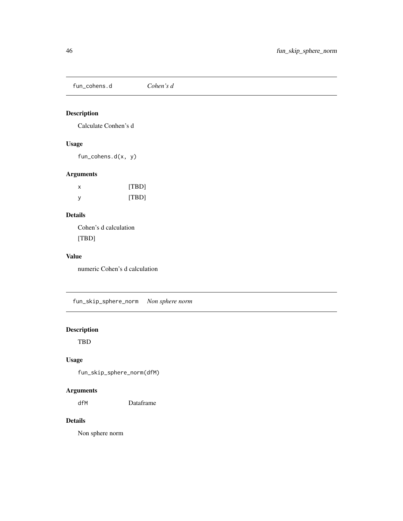<span id="page-45-0"></span>fun\_cohens.d *Cohen's d*

## Description

Calculate Conhen's d

## Usage

fun\_cohens.d(x, y)

## Arguments

| х | [TBD] |
|---|-------|
| v | [TBD] |

## Details

Cohen's d calculation [TBD]

## Value

numeric Cohen's d calculation

fun\_skip\_sphere\_norm *Non sphere norm*

## Description

TBD

## Usage

fun\_skip\_sphere\_norm(dfM)

## Arguments

dfM Dataframe

## Details

Non sphere norm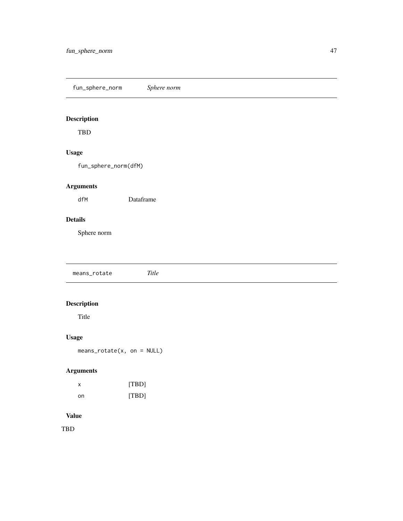<span id="page-46-0"></span>fun\_sphere\_norm *Sphere norm*

## Description

TBD

## Usage

fun\_sphere\_norm(dfM)

## Arguments

dfM Dataframe

## Details

Sphere norm

means\_rotate *Title*

## Description

Title

## Usage

means\_rotate(x, on = NULL)

## Arguments

| x  | [TBD] |
|----|-------|
| nn | [TBD] |

### Value

TBD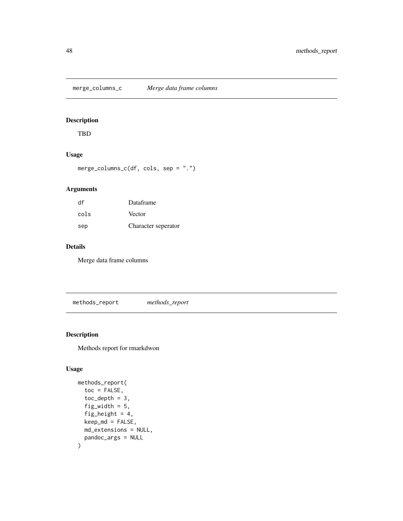<span id="page-47-0"></span>merge\_columns\_c *Merge data frame columns*

## Description

TBD

### Usage

merge\_columns\_c(df, cols, sep = ".")

## Arguments

| df   | Dataframe           |
|------|---------------------|
| cols | Vector              |
| sep  | Character seperator |

## Details

Merge data frame columns

methods\_report *methods\_report*

## Description

Methods report for rmarkdwon

```
methods_report(
  toc = FALSE,toc\_depth = 3,
  fig_width = 5,
 fig_height = 4,
 keep_md = FALSE,
 md_extensions = NULL,
 pandoc_args = NULL
\mathcal{L}
```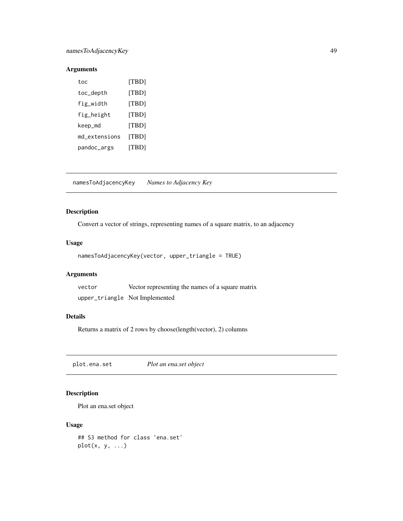## <span id="page-48-0"></span>namesToAdjacencyKey 49

## Arguments

| toc           | [TBD] |
|---------------|-------|
| toc_depth     | [TBD] |
| fig_width     | [TBD] |
| fig_height    | [TBD] |
| keep_md       | [TBD] |
| md extensions | [TBD] |
| pandoc_args   | [TBD] |

namesToAdjacencyKey *Names to Adjacency Key*

## Description

Convert a vector of strings, representing names of a square matrix, to an adjacency

### Usage

```
namesToAdjacencyKey(vector, upper_triangle = TRUE)
```
## Arguments

| vector | Vector representing the names of a square matrix |
|--------|--------------------------------------------------|
|        | upper_triangle NotImplemented                    |

### Details

Returns a matrix of 2 rows by choose(length(vector), 2) columns

plot.ena.set *Plot an ena.set object*

## Description

Plot an ena.set object

```
## S3 method for class 'ena.set'
plot(x, y, ...)
```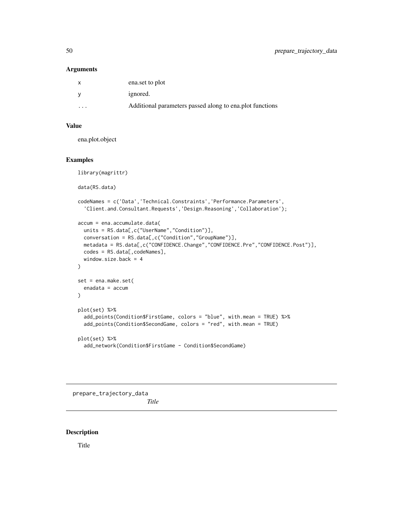#### <span id="page-49-0"></span>Arguments

|                         | ena.set to plot                                          |
|-------------------------|----------------------------------------------------------|
|                         | ignored.                                                 |
| $\cdot$ $\cdot$ $\cdot$ | Additional parameters passed along to ena.plot functions |

## Value

ena.plot.object

## Examples

```
library(magrittr)
data(RS.data)
codeNames = c('Data','Technical.Constraints','Performance.Parameters',
  'Client.and.Consultant.Requests','Design.Reasoning','Collaboration');
accum = ena.accumulate.data(
 units = RS.data[,c("UserName","Condition")],
  conversation = RS.data[,c("Condition","GroupName")],
 metadata = RS.data[,c("CONFIDENCE.Change","CONFIDENCE.Pre","CONFIDENCE.Post")],
  codes = RS.data[, codeNames],
  window.size.back = 4
\lambdaset = ena.make.set(
  enadata = accum
\lambdaplot(set) %>%
  add_points(Condition$FirstGame, colors = "blue", with.mean = TRUE) %>%
  add_points(Condition$SecondGame, colors = "red", with.mean = TRUE)
plot(set) %>%
  add_network(Condition$FirstGame - Condition$SecondGame)
```
prepare\_trajectory\_data

*Title*

### Description

Title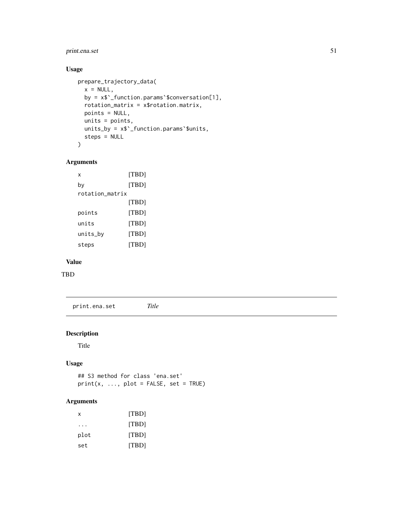## <span id="page-50-0"></span>print.ena.set 51

## Usage

```
prepare_trajectory_data(
 x = NULL,by = x$`_function.params`$conversation[1],
  rotation_matrix = x$rotation.matrix,
 points = NULL,
 units = points,
 units_by = x$`_function.params`$units,
  steps = NULL
\mathcal{L}
```
## Arguments

```
x [TBD]
by [TBD]
rotation_matrix
         [TBD]
points [TBD]
units [TBD]
units_by [TBD]
steps [TBD]
```
## Value

TBD

print.ena.set *Title*

### Description

Title

## Usage

## S3 method for class 'ena.set'  $print(x, ..., plot = FALSE, set = TRUE)$ 

## Arguments

| x    | [TBD] |
|------|-------|
|      | [TBD] |
| plot | [TBD] |
| set  | [TBD] |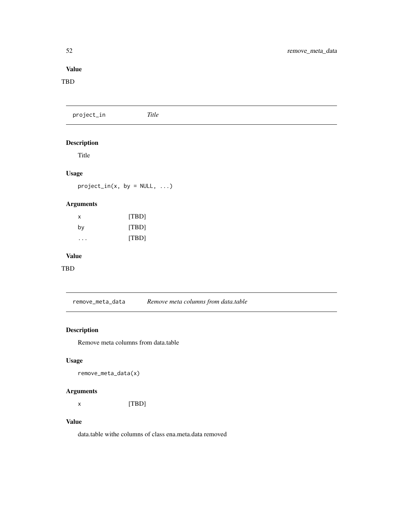## <span id="page-51-0"></span>Value

### TBD

project\_in *Title*

## Description

Title

## Usage

 $project\_in(x, by = NULL, ...)$ 

## Arguments

| x  | [TBD] |
|----|-------|
| by | [TBD] |
| .  | [TBD] |

## Value

TBD

remove\_meta\_data *Remove meta columns from data.table*

## Description

Remove meta columns from data.table

## Usage

remove\_meta\_data(x)

## Arguments

x [TBD]

## Value

data.table withe columns of class ena.meta.data removed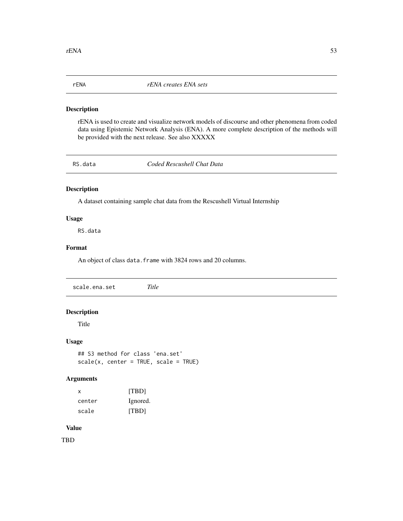<span id="page-52-0"></span>

### Description

rENA is used to create and visualize network models of discourse and other phenomena from coded data using Epistemic Network Analysis (ENA). A more complete description of the methods will be provided with the next release. See also XXXXX

RS.data *Coded Rescushell Chat Data*

## Description

A dataset containing sample chat data from the Rescushell Virtual Internship

#### Usage

RS.data

### Format

An object of class data. frame with 3824 rows and 20 columns.

scale.ena.set *Title*

### Description

Title

## Usage

```
## S3 method for class 'ena.set'
scale(x, center = TRUE, scale = TRUE)
```
#### Arguments

| x      | [TBD]    |
|--------|----------|
| center | Ignored. |
| scale  | [TBD]    |

## Value

TBD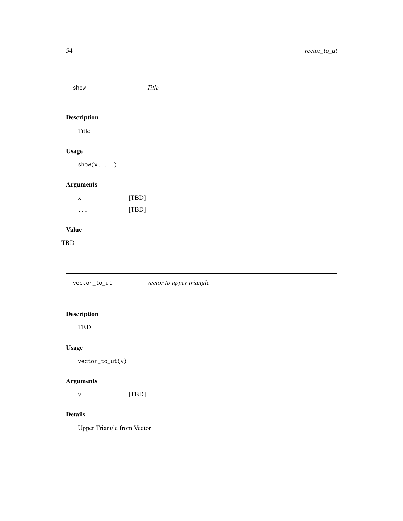<span id="page-53-0"></span>

| show              | $\it Title$              |
|-------------------|--------------------------|
| Description       |                          |
| Title             |                          |
| <b>Usage</b>      |                          |
| $show(x, \ldots)$ |                          |
| <b>Arguments</b>  |                          |
| $\pmb{\times}$    | [TBD]                    |
| $\cdots$          | [TBD]                    |
| <b>Value</b>      |                          |
| $_{\rm TBD}$      |                          |
|                   |                          |
| vector_to_ut      | vector to upper triangle |

## Description

TBD

## Usage

vector\_to\_ut(v)

## Arguments

v [TBD]

## Details

Upper Triangle from Vector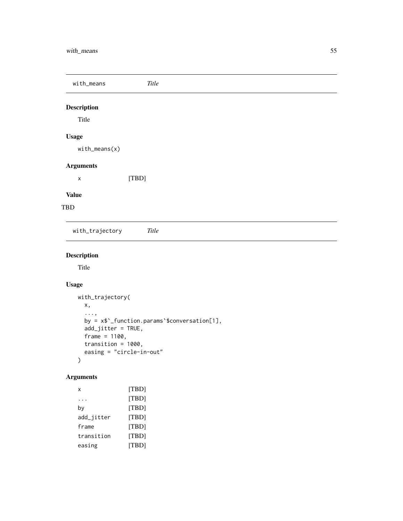<span id="page-54-0"></span>with\_means *Title*

## Description

Title

## Usage

with\_means(x)

## Arguments

x [TBD]

## Value

TBD

with\_trajectory *Title*

## Description

Title

## Usage

```
with_trajectory(
 x,
  ...,
 by = x$`_function.params`$conversation[1],
 add_jitter = TRUE,
 frame = 1100,
 transition = 1000,
 easing = "circle-in-out"
)
```
## Arguments

```
x [TBD]
... [TBD]
by [TBD]
add_jitter [TBD]
frame [TBD]
transition [TBD]
easing [TBD]
```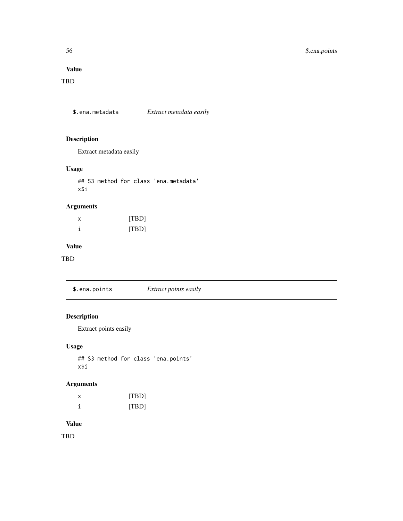## <span id="page-55-0"></span>Value

## TBD

\$.ena.metadata *Extract metadata easily*

## Description

Extract metadata easily

## Usage

## S3 method for class 'ena.metadata' x\$i

## Arguments

| х | [TBD] |
|---|-------|
|   | [TBD] |

## Value

TBD

\$.ena.points *Extract points easily*

## Description

Extract points easily

## Usage

## S3 method for class 'ena.points' x\$i

## Arguments

| х | [TBD] |
|---|-------|
|   | [TBD] |

## Value

TBD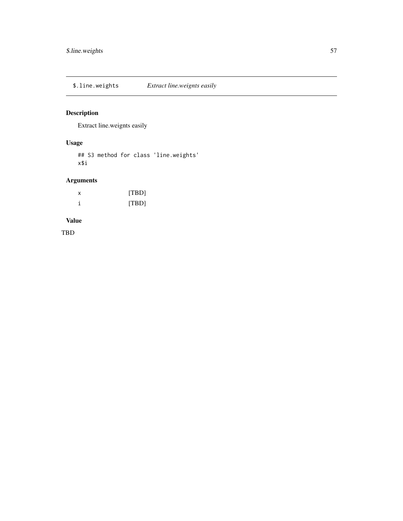<span id="page-56-0"></span>\$.line.weights *Extract line.weignts easily*

## Description

Extract line.weignts easily

## Usage

## S3 method for class 'line.weights' x\$i

## Arguments

| х | [TBD] |
|---|-------|
|   | [TBD] |

## Value

TBD